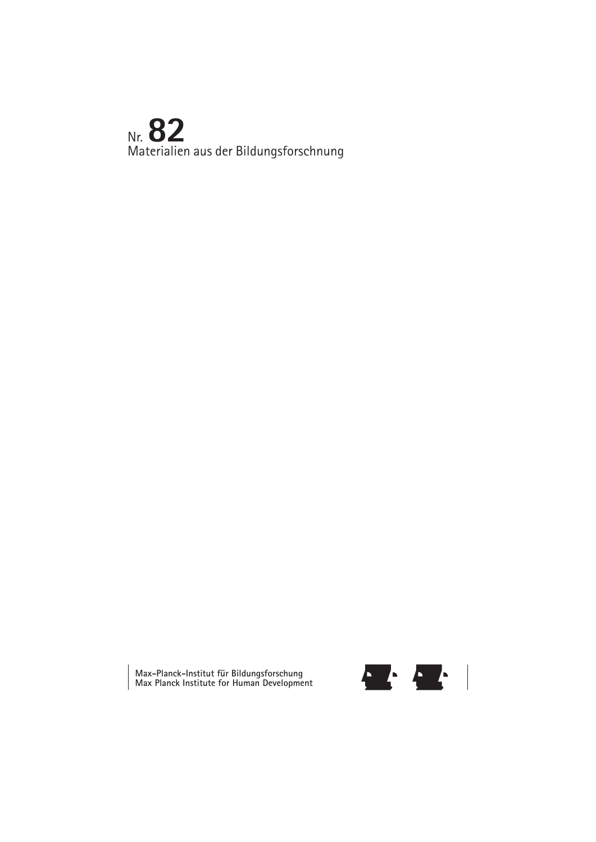# Nr. **82** Materialien aus der Bildungsforschnung

**Max-Planck-Institut für Bildungsforschung Max Planck Institute for Human Development**

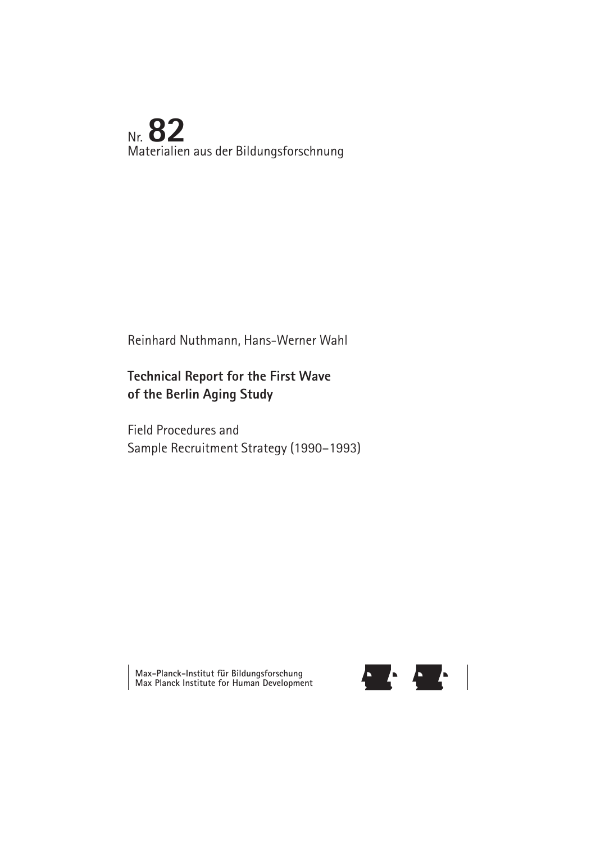## Nr. **82** Materialien aus der Bildungsforschnung

## Reinhard Nuthmann, Hans-Werner Wahl

## **Technical Report for the First Wave of the Berlin Aging Study**

Field Procedures and Sample Recruitment Strategy (1990–1993)

**Max-Planck-Institut für Bildungsforschung Max Planck Institute for Human Development**

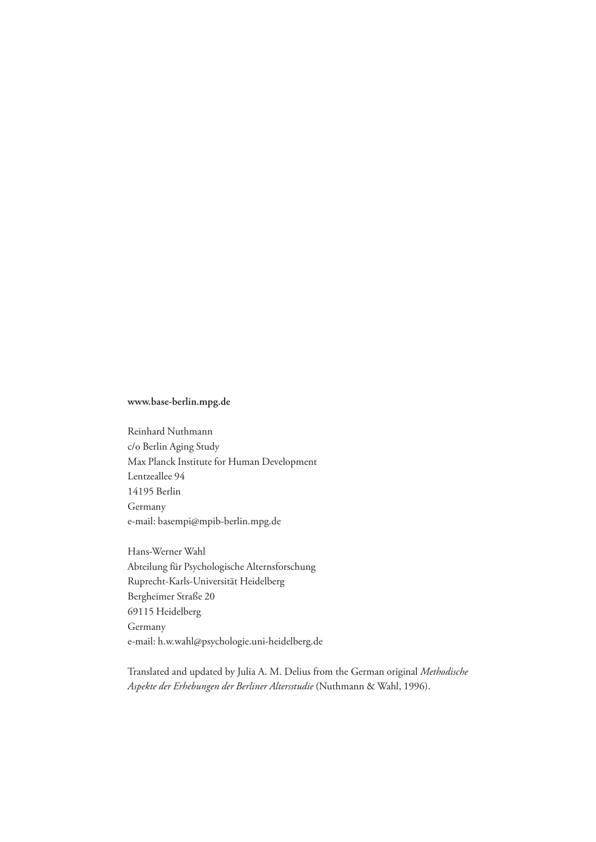#### **www.base-berlin.mpg.de**

Reinhard Nuthmann c/o Berlin Aging Study Max Planck Institute for Human Development Lentzeallee 94 14195 Berlin Germany e-mail: basempi@mpib-berlin.mpg.de

Hans-Werner Wahl Abteilung für Psychologische Alternsforschung Ruprecht-Karls-Universität Heidelberg Bergheimer Straße 20 69115 Heidelberg Germany e-mail: h.w.wahl@psychologie.uni-heidelberg.de

Translated and updated by Julia A. M. Delius from the German original *Methodische Aspekte der Erhebungen der Berliner Altersstudie* (Nuthmann & Wahl, 1996).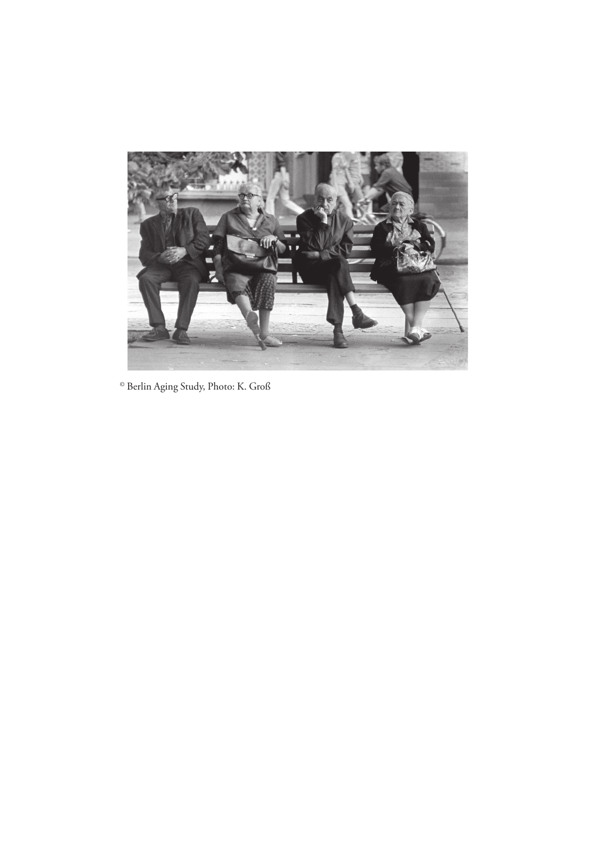

© Berlin Aging Study, Photo: K. Groß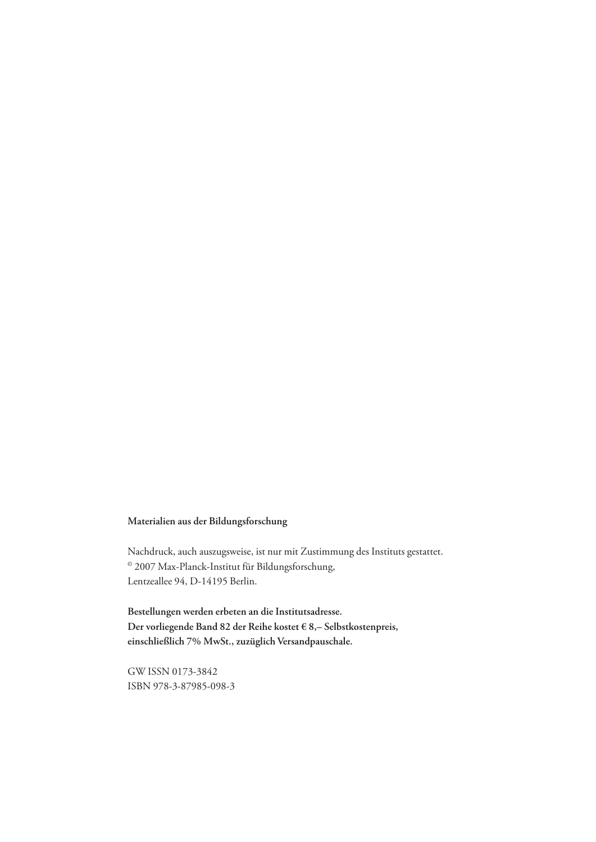#### **Materialien aus der Bildungsforschung**

Nachdruck, auch auszugsweise, ist nur mit Zustimmung des Instituts gestattet. © 2007 Max-Planck-Institut für Bildungsforschung, Lentzeallee 94, D-14195 Berlin.

**Bestellungen werden erbeten an die Institutsadresse. Der vorliegende Band 82 der Reihe kostet € 8,– Selbstkostenpreis, einschließlich 7% MwSt., zuzüglich Versandpauschale.**

GW ISSN 0173-3842 ISBN 978-3-87985-098-3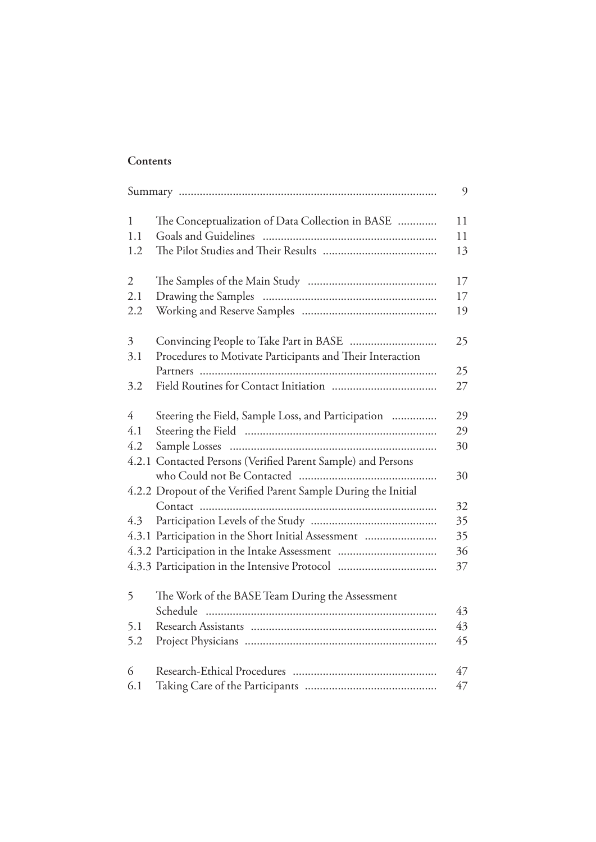### **Contents**

|                |                                                                | 9  |
|----------------|----------------------------------------------------------------|----|
| $\mathbf{1}$   | The Conceptualization of Data Collection in BASE               | 11 |
| 1.1            |                                                                | 11 |
| 1.2            |                                                                | 13 |
| $\overline{2}$ |                                                                | 17 |
| 2.1            |                                                                | 17 |
| 2.2            |                                                                | 19 |
| $\mathfrak{Z}$ |                                                                | 25 |
| 3.1            | Procedures to Motivate Participants and Their Interaction      |    |
|                |                                                                | 25 |
| 3.2            |                                                                | 27 |
| $\overline{4}$ | Steering the Field, Sample Loss, and Participation             | 29 |
| 4.1            |                                                                | 29 |
| 4.2            |                                                                | 30 |
|                | 4.2.1 Contacted Persons (Verified Parent Sample) and Persons   |    |
|                |                                                                | 30 |
|                | 4.2.2 Dropout of the Verified Parent Sample During the Initial |    |
|                |                                                                | 32 |
| 4.3            |                                                                | 35 |
|                | 4.3.1 Participation in the Short Initial Assessment            | 35 |
|                |                                                                | 36 |
|                |                                                                | 37 |
| 5              | The Work of the BASE Team During the Assessment                |    |
|                | Schedule                                                       | 43 |
| 5.1            |                                                                | 43 |
| 5.2            |                                                                | 45 |
| 6              |                                                                | 47 |
| 6.1            |                                                                | 47 |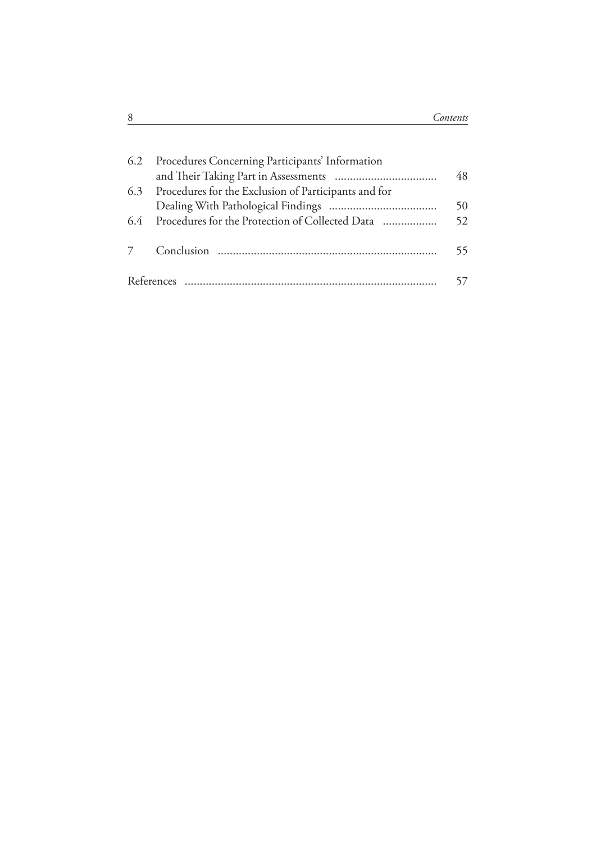|     | 6.2 Procedures Concerning Participants' Information  | 48 |
|-----|------------------------------------------------------|----|
| 6.3 | Procedures for the Exclusion of Participants and for |    |
|     |                                                      | 50 |
|     | 6.4 Procedures for the Protection of Collected Data  | 52 |
|     |                                                      | 55 |
|     |                                                      |    |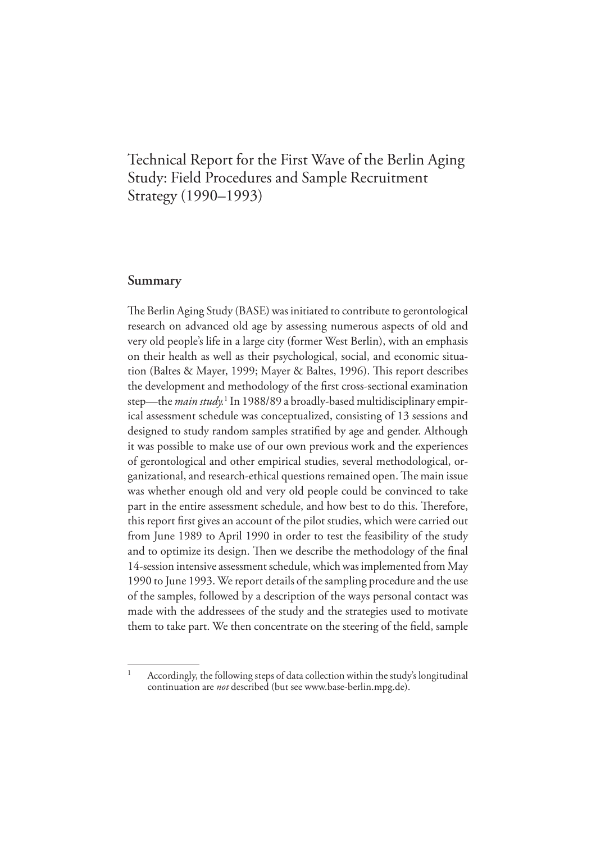## Technical Report for the First Wave of the Berlin Aging Study: Field Procedures and Sample Recruitment Strategy (1990–1993)

#### **Summary**

1

The Berlin Aging Study (BASE) was initiated to contribute to gerontological research on advanced old age by assessing numerous aspects of old and very old people's life in a large city (former West Berlin), with an emphasis on their health as well as their psychological, social, and economic situation (Baltes & Mayer, 1999; Mayer & Baltes, 1996). This report describes the development and methodology of the first cross-sectional examination step—the *main study*.<sup>1</sup> In 1988/89 a broadly-based multidisciplinary empirical assessment schedule was conceptualized, consisting of 13 sessions and designed to study random samples stratified by age and gender. Although it was possible to make use of our own previous work and the experiences of gerontological and other empirical studies, several methodological, organizational, and research-ethical questions remained open. The main issue was whether enough old and very old people could be convinced to take part in the entire assessment schedule, and how best to do this. Therefore, this report first gives an account of the pilot studies, which were carried out from June 1989 to April 1990 in order to test the feasibility of the study and to optimize its design. Then we describe the methodology of the final 14-session intensive assessment schedule, which was implemented from May 1990 to June 1993. We report details of the sampling procedure and the use of the samples, followed by a description of the ways personal contact was made with the addressees of the study and the strategies used to motivate them to take part. We then concentrate on the steering of the field, sample

Accordingly, the following steps of data collection within the study's longitudinal continuation are *not* described (but see www.base-berlin.mpg.de).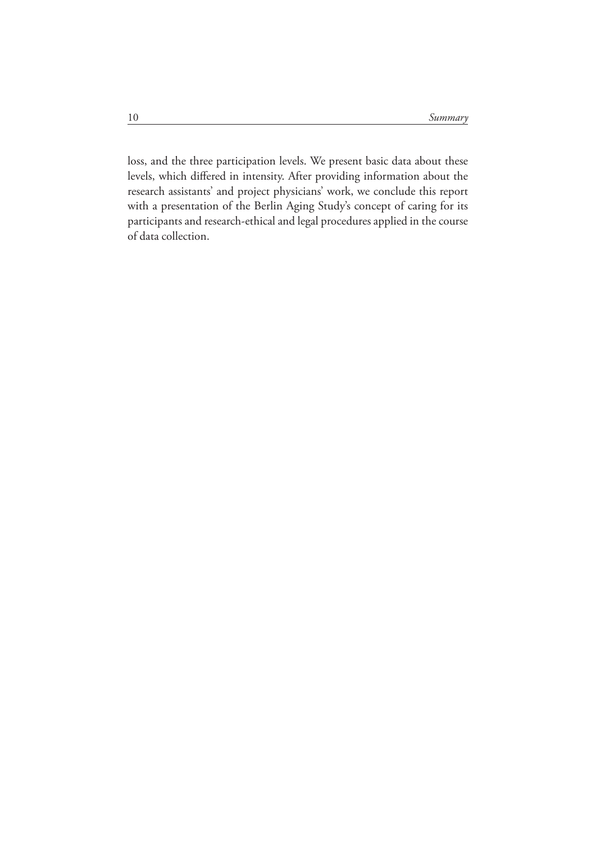loss, and the three participation levels. We present basic data about these levels, which differed in intensity. After providing information about the research assistants' and project physicians' work, we conclude this report with a presentation of the Berlin Aging Study's concept of caring for its participants and research-ethical and legal procedures applied in the course of data collection.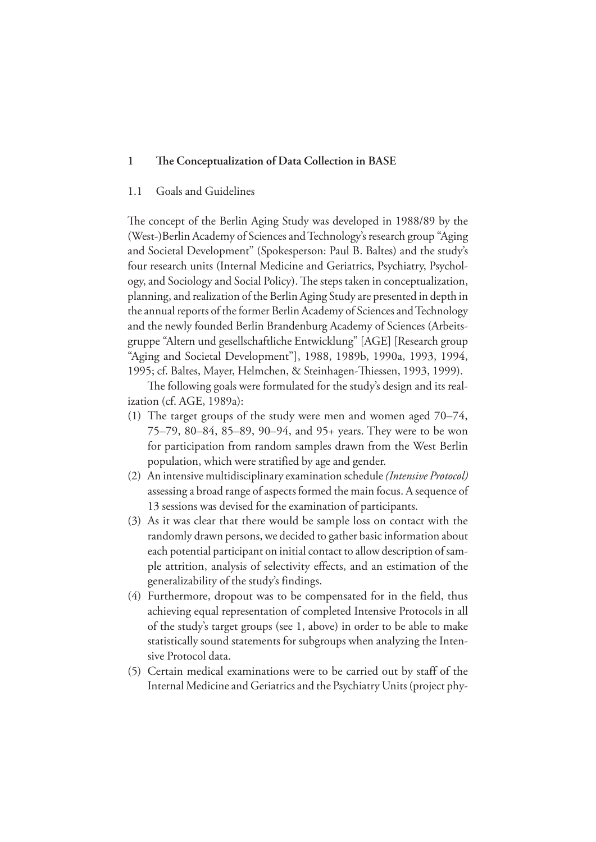#### 1 The Conceptualization of Data Collection in BASE

#### 1.1 Goals and Guidelines

The concept of the Berlin Aging Study was developed in 1988/89 by the (West-)Berlin Academy of Sciences and Technology's research group "Aging and Societal Development" (Spokesperson: Paul B. Baltes) and the study's four research units (Internal Medicine and Geriatrics, Psychiatry, Psychology, and Sociology and Social Policy). The steps taken in conceptualization, planning, and realization of the Berlin Aging Study are presented in depth in the annual reports of the former Berlin Academy of Sciences and Technology and the newly founded Berlin Brandenburg Academy of Sciences (Arbeitsgruppe "Altern und gesellschaftliche Entwicklung" [AGE] [Research group "Aging and Societal Development"], 1988, 1989b, 1990a, 1993, 1994, 1995; cf. Baltes, Mayer, Helmchen, & Steinhagen-Thiessen, 1993, 1999).

The following goals were formulated for the study's design and its realization (cf. AGE, 1989a):

- (1) The target groups of the study were men and women aged 70–74, 75–79, 80–84, 85–89, 90–94, and 95+ years. They were to be won for participation from random samples drawn from the West Berlin population, which were stratified by age and gender.
- (2) An intensive multidisciplinary examination schedule *(Intensive Protocol)* assessing a broad range of aspects formed the main focus. A sequence of 13 sessions was devised for the examination of participants.
- (3) As it was clear that there would be sample loss on contact with the randomly drawn persons, we decided to gather basic information about each potential participant on initial contact to allow description of sample attrition, analysis of selectivity effects, and an estimation of the generalizability of the study's findings.
- (4) Furthermore, dropout was to be compensated for in the field, thus achieving equal representation of completed Intensive Protocols in all of the study's target groups (see 1, above) in order to be able to make statistically sound statements for subgroups when analyzing the Intensive Protocol data.
- (5) Certain medical examinations were to be carried out by staff of the Internal Medicine and Geriatrics and the Psychiatry Units (project phy-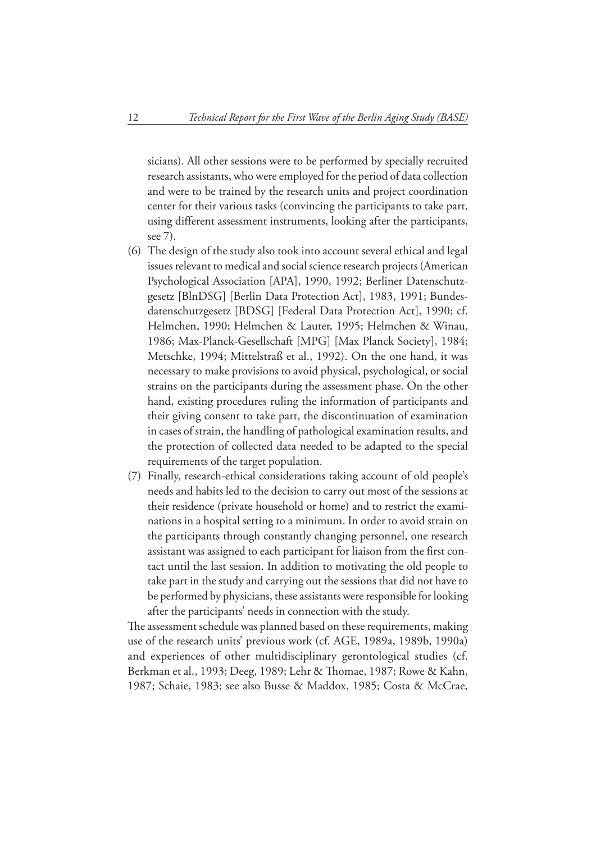sicians). All other sessions were to be performed by specially recruited research assistants, who were employed for the period of data collection and were to be trained by the research units and project coordination center for their various tasks (convincing the participants to take part, using different assessment instruments, looking after the participants, see 7).

- (6) The design of the study also took into account several ethical and legal issues relevant to medical and social science research projects (American Psychological Association [APA], 1990, 1992; Berliner Datenschutzgesetz [BlnDSG] [Berlin Data Protection Act], 1983, 1991; Bundesdatenschutzgesetz [BDSG] [Federal Data Protection Act], 1990; cf. Helmchen, 1990; Helmchen & Lauter, 1995; Helmchen & Winau, 1986; Max-Planck-Gesellschaft [MPG] [Max Planck Society], 1984; Metschke, 1994; Mittelstraß et al., 1992). On the one hand, it was necessary to make provisions to avoid physical, psychological, or social strains on the participants during the assessment phase. On the other hand, existing procedures ruling the information of participants and their giving consent to take part, the discontinuation of examination in cases of strain, the handling of pathological examination results, and the protection of collected data needed to be adapted to the special requirements of the target population.
- (7) Finally, research-ethical considerations taking account of old people's needs and habits led to the decision to carry out most of the sessions at their residence (private household or home) and to restrict the examinations in a hospital setting to a minimum. In order to avoid strain on the participants through constantly changing personnel, one research assistant was assigned to each participant for liaison from the first contact until the last session. In addition to motivating the old people to take part in the study and carrying out the sessions that did not have to be performed by physicians, these assistants were responsible for looking after the participants' needs in connection with the study.

The assessment schedule was planned based on these requirements, making use of the research units' previous work (cf. AGE, 1989a, 1989b, 1990a) and experiences of other multidisciplinary gerontological studies (cf. Berkman et al., 1993; Deeg, 1989; Lehr & Thomae, 1987; Rowe & Kahn, 1987; Schaie, 1983; see also Busse & Maddox, 1985; Costa & McCrae,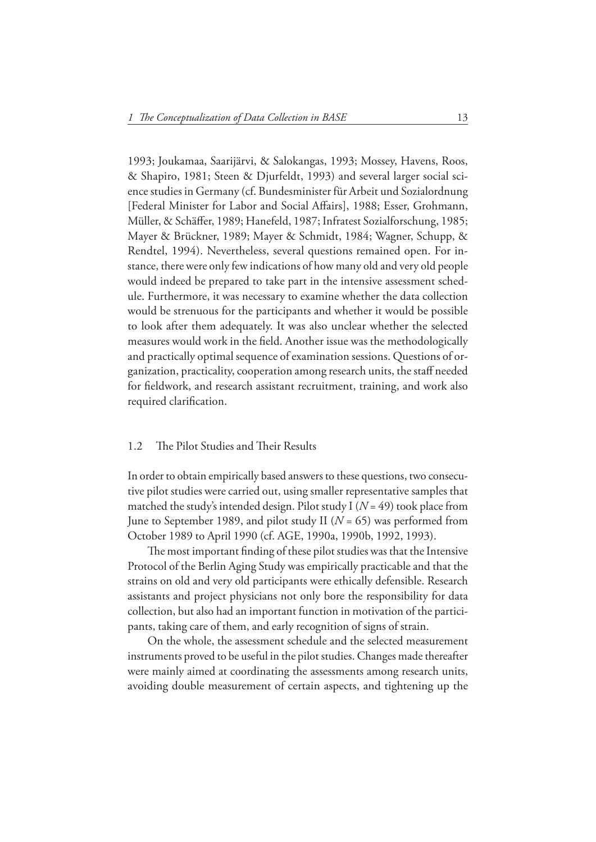1993; Joukamaa, Saarijärvi, & Salokangas, 1993; Mossey, Havens, Roos, & Shapiro, 1981; Steen & Djurfeldt, 1993) and several larger social science studies in Germany (cf. Bundesminister für Arbeit und Sozialordnung [Federal Minister for Labor and Social Affairs], 1988; Esser, Grohmann, Müller, & Schäffer, 1989; Hanefeld, 1987; Infratest Sozialforschung, 1985; Mayer & Brückner, 1989; Mayer & Schmidt, 1984; Wagner, Schupp, & Rendtel, 1994). Nevertheless, several questions remained open. For instance, there were only few indications of how many old and very old people would indeed be prepared to take part in the intensive assessment schedule. Furthermore, it was necessary to examine whether the data collection would be strenuous for the participants and whether it would be possible to look after them adequately. It was also unclear whether the selected measures would work in the field. Another issue was the methodologically and practically optimal sequence of examination sessions. Questions of organization, practicality, cooperation among research units, the staff needed for fieldwork, and research assistant recruitment, training, and work also required clarification.

#### 1.2 The Pilot Studies and Their Results

In order to obtain empirically based answers to these questions, two consecutive pilot studies were carried out, using smaller representative samples that matched the study's intended design. Pilot study I (*N* = 49) took place from June to September 1989, and pilot study II (*N* = 65) was performed from October 1989 to April 1990 (cf. AGE, 1990a, 1990b, 1992, 1993).

The most important finding of these pilot studies was that the Intensive Protocol of the Berlin Aging Study was empirically practicable and that the strains on old and very old participants were ethically defensible. Research assistants and project physicians not only bore the responsibility for data collection, but also had an important function in motivation of the participants, taking care of them, and early recognition of signs of strain.

On the whole, the assessment schedule and the selected measurement instruments proved to be useful in the pilot studies. Changes made thereafter were mainly aimed at coordinating the assessments among research units, avoiding double measurement of certain aspects, and tightening up the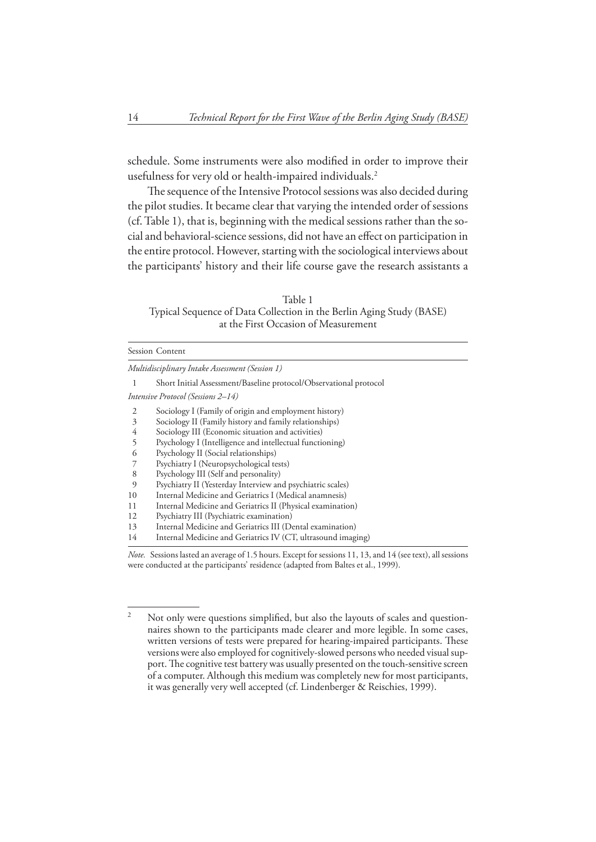schedule. Some instruments were also modified in order to improve their usefulness for very old or health-impaired individuals.<sup>2</sup>

The sequence of the Intensive Protocol sessions was also decided during the pilot studies. It became clear that varying the intended order of sessions (cf. Table 1), that is, beginning with the medical sessions rather than the social and behavioral-science sessions, did not have an effect on participation in the entire protocol. However, starting with the sociological interviews about the participants' history and their life course gave the research assistants a

Table 1 Typical Sequence of Data Collection in the Berlin Aging Study (BASE) at the First Occasion of Measurement

|    | <b>Session Content</b>                                            |
|----|-------------------------------------------------------------------|
|    | Multidisciplinary Intake Assessment (Session 1)                   |
| 1  | Short Initial Assessment/Baseline protocol/Observational protocol |
|    | Intensive Protocol (Sessions 2–14)                                |
| 2  | Sociology I (Family of origin and employment history)             |
| 3  | Sociology II (Family history and family relationships)            |
| 4  | Sociology III (Economic situation and activities)                 |
| 5  | Psychology I (Intelligence and intellectual functioning)          |
| 6  | Psychology II (Social relationships)                              |
|    | Psychiatry I (Neuropsychological tests)                           |
| 8  | Psychology III (Self and personality)                             |
| 9  | Psychiatry II (Yesterday Interview and psychiatric scales)        |
| 10 | Internal Medicine and Geriatrics I (Medical anamnesis)            |
| 11 | Internal Medicine and Geriatrics II (Physical examination)        |
| 12 | Psychiatry III (Psychiatric examination)                          |
| 13 | Internal Medicine and Geriatrics III (Dental examination)         |
| 14 | Internal Medicine and Geriatrics IV (CT, ultrasound imaging)      |

*Note.* Sessions lasted an average of 1.5 hours. Except for sessions 11, 13, and 14 (see text), all sessions were conducted at the participants' residence (adapted from Baltes et al., 1999).

 $\overline{2}$ Not only were questions simplified, but also the layouts of scales and questionnaires shown to the participants made clearer and more legible. In some cases, written versions of tests were prepared for hearing-impaired participants. These versions were also employed for cognitively-slowed persons who needed visual support. The cognitive test battery was usually presented on the touch-sensitive screen of a computer. Although this medium was completely new for most participants, it was generally very well accepted (cf. Lindenberger & Reischies, 1999).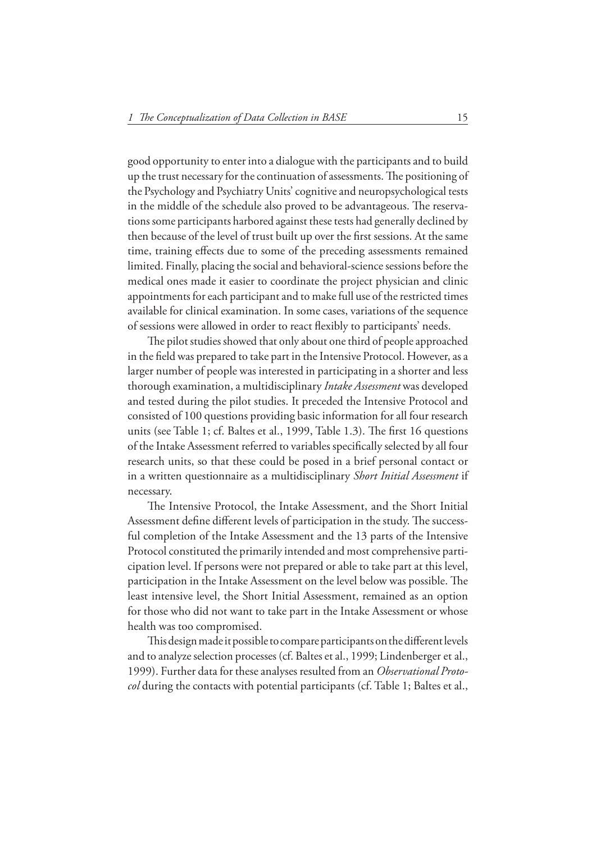good opportunity to enter into a dialogue with the participants and to build up the trust necessary for the continuation of assessments. The positioning of the Psychology and Psychiatry Units' cognitive and neuropsychological tests in the middle of the schedule also proved to be advantageous. The reservations some participants harbored against these tests had generally declined by then because of the level of trust built up over the first sessions. At the same time, training effects due to some of the preceding assessments remained limited. Finally, placing the social and behavioral-science sessions before the medical ones made it easier to coordinate the project physician and clinic appointments for each participant and to make full use of the restricted times available for clinical examination. In some cases, variations of the sequence of sessions were allowed in order to react flexibly to participants' needs.

The pilot studies showed that only about one third of people approached in the field was prepared to take part in the Intensive Protocol. However, as a larger number of people was interested in participating in a shorter and less thorough examination, a multidisciplinary *Intake Assessment* was developed and tested during the pilot studies. It preceded the Intensive Protocol and consisted of 100 questions providing basic information for all four research units (see Table 1; cf. Baltes et al., 1999, Table 1.3). The first 16 questions of the Intake Assessment referred to variables specifically selected by all four research units, so that these could be posed in a brief personal contact or in a written questionnaire as a multidisciplinary *Short Initial Assessment* if necessary.

The Intensive Protocol, the Intake Assessment, and the Short Initial Assessment define different levels of participation in the study. The successful completion of the Intake Assessment and the 13 parts of the Intensive Protocol constituted the primarily intended and most comprehensive participation level. If persons were not prepared or able to take part at this level, participation in the Intake Assessment on the level below was possible. The least intensive level, the Short Initial Assessment, remained as an option for those who did not want to take part in the Intake Assessment or whose health was too compromised.

This design made it possible to compare participants on the different levels and to analyze selection processes (cf. Baltes et al., 1999; Lindenberger et al., 1999). Further data for these analyses resulted from an *Observational Protocol* during the contacts with potential participants (cf. Table 1; Baltes et al.,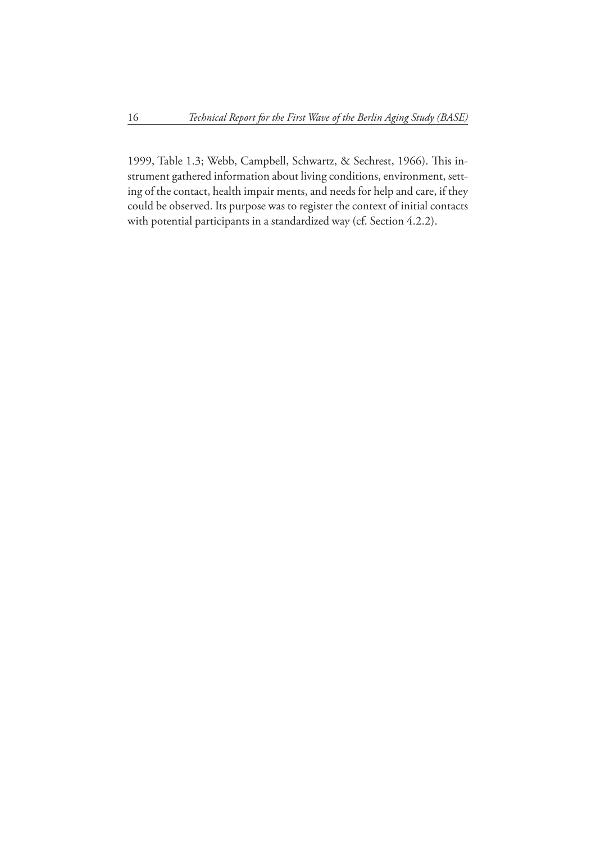1999, Table 1.3; Webb, Campbell, Schwartz, & Sechrest, 1966). This instrument gathered information about living conditions, environment, setting of the contact, health impair ments, and needs for help and care, if they could be observed. Its purpose was to register the context of initial contacts with potential participants in a standardized way (cf. Section 4.2.2).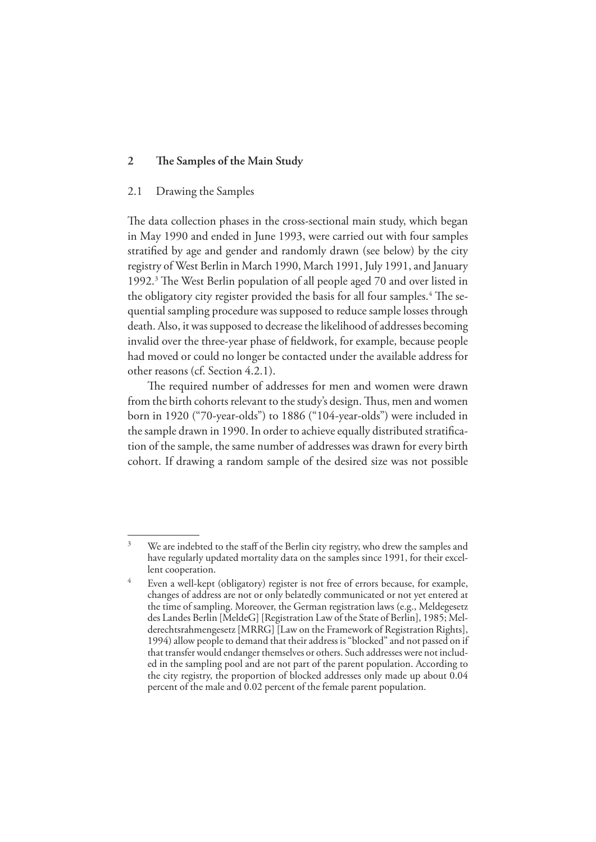#### 2 The Samples of the Main Study

#### 2.1 Drawing the Samples

The data collection phases in the cross-sectional main study, which began in May 1990 and ended in June 1993, were carried out with four samples stratified by age and gender and randomly drawn (see below) by the city registry of West Berlin in March 1990, March 1991, July 1991, and January 1992.<sup>3</sup> The West Berlin population of all people aged 70 and over listed in the obligatory city register provided the basis for all four samples.<sup>4</sup> The sequential sampling procedure was supposed to reduce sample losses through death. Also, it was supposed to decrease the likelihood of addresses becoming invalid over the three-year phase of fieldwork, for example, because people had moved or could no longer be contacted under the available address for other reasons (cf. Section 4.2.1).

The required number of addresses for men and women were drawn from the birth cohorts relevant to the study's design. Thus, men and women born in 1920 ("70-year-olds") to 1886 ("104-year-olds") were included in the sample drawn in 1990. In order to achieve equally distributed stratification of the sample, the same number of addresses was drawn for every birth cohort. If drawing a random sample of the desired size was not possible

<sup>3</sup> We are indebted to the staff of the Berlin city registry, who drew the samples and have regularly updated mortality data on the samples since 1991, for their excellent cooperation.

<sup>4</sup> Even a well-kept (obligatory) register is not free of errors because, for example, changes of address are not or only belatedly communicated or not yet entered at the time of sampling. Moreover, the German registration laws (e.g., Meldegesetz des Landes Berlin [MeldeG] [Registration Law of the State of Berlin], 1985; Melderechtsrahmengesetz [MRRG] [Law on the Framework of Registration Rights], 1994) allow people to demand that their address is "blocked" and not passed on if that transfer would endanger themselves or others. Such addresses were not included in the sampling pool and are not part of the parent population. According to the city registry, the proportion of blocked addresses only made up about 0.04 percent of the male and 0.02 percent of the female parent population.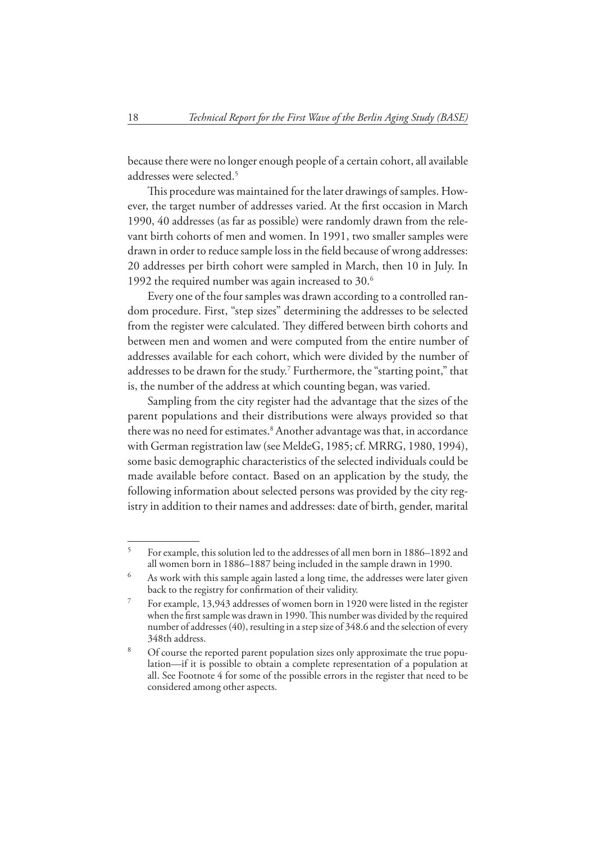because there were no longer enough people of a certain cohort, all available addresses were selected.5

This procedure was maintained for the later drawings of samples. However, the target number of addresses varied. At the first occasion in March 1990, 40 addresses (as far as possible) were randomly drawn from the relevant birth cohorts of men and women. In 1991, two smaller samples were drawn in order to reduce sample loss in the field because of wrong addresses: 20 addresses per birth cohort were sampled in March, then 10 in July. In 1992 the required number was again increased to 30.6

Every one of the four samples was drawn according to a controlled random procedure. First, "step sizes" determining the addresses to be selected from the register were calculated. They differed between birth cohorts and between men and women and were computed from the entire number of addresses available for each cohort, which were divided by the number of addresses to be drawn for the study.<sup>7</sup> Furthermore, the "starting point," that is, the number of the address at which counting began, was varied.

Sampling from the city register had the advantage that the sizes of the parent populations and their distributions were always provided so that there was no need for estimates.<sup>8</sup> Another advantage was that, in accordance with German registration law (see MeldeG, 1985; cf. MRRG, 1980, 1994), some basic demographic characteristics of the selected individuals could be made available before contact. Based on an application by the study, the following information about selected persons was provided by the city registry in addition to their names and addresses: date of birth, gender, marital

<sup>5</sup> For example, this solution led to the addresses of all men born in 1886–1892 and all women born in 1886–1887 being included in the sample drawn in 1990.

<sup>6</sup> As work with this sample again lasted a long time, the addresses were later given back to the registry for confirmation of their validity.

<sup>7</sup> For example, 13,943 addresses of women born in 1920 were listed in the register when the first sample was drawn in 1990. This number was divided by the required number of addresses (40), resulting in a step size of 348.6 and the selection of every 348th address.

<sup>8</sup> Of course the reported parent population sizes only approximate the true population—if it is possible to obtain a complete representation of a population at all. See Footnote 4 for some of the possible errors in the register that need to be considered among other aspects.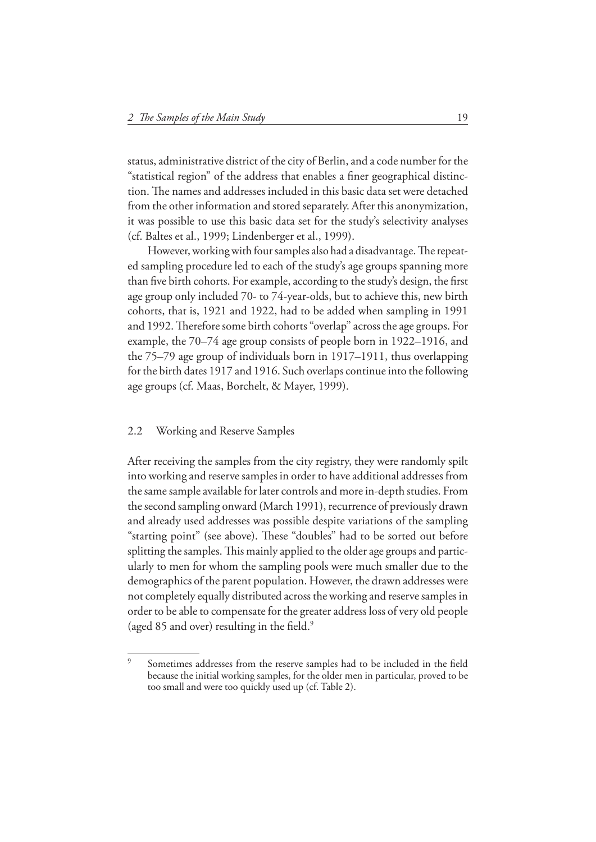status, administrative district of the city of Berlin, and a code number for the "statistical region" of the address that enables a finer geographical distinction. The names and addresses included in this basic data set were detached from the other information and stored separately. After this anonymization, it was possible to use this basic data set for the study's selectivity analyses (cf. Baltes et al., 1999; Lindenberger et al., 1999).

However, working with four samples also had a disadvantage. The repeated sampling procedure led to each of the study's age groups spanning more than five birth cohorts. For example, according to the study's design, the first age group only included 70- to 74-year-olds, but to achieve this, new birth cohorts, that is, 1921 and 1922, had to be added when sampling in 1991 and 1992. Therefore some birth cohorts "overlap" across the age groups. For example, the 70–74 age group consists of people born in 1922–1916, and the 75–79 age group of individuals born in 1917–1911, thus overlapping for the birth dates 1917 and 1916. Such overlaps continue into the following age groups (cf. Maas, Borchelt, & Mayer, 1999).

#### 2.2 Working and Reserve Samples

After receiving the samples from the city registry, they were randomly spilt into working and reserve samples in order to have additional addresses from the same sample available for later controls and more in-depth studies. From the second sampling onward (March 1991), recurrence of previously drawn and already used addresses was possible despite variations of the sampling "starting point" (see above). These "doubles" had to be sorted out before splitting the samples. This mainly applied to the older age groups and particularly to men for whom the sampling pools were much smaller due to the demographics of the parent population. However, the drawn addresses were not completely equally distributed across the working and reserve samples in order to be able to compensate for the greater address loss of very old people (aged 85 and over) resulting in the field. $9$ 

<sup>9</sup> Sometimes addresses from the reserve samples had to be included in the field because the initial working samples, for the older men in particular, proved to be too small and were too quickly used up (cf. Table 2).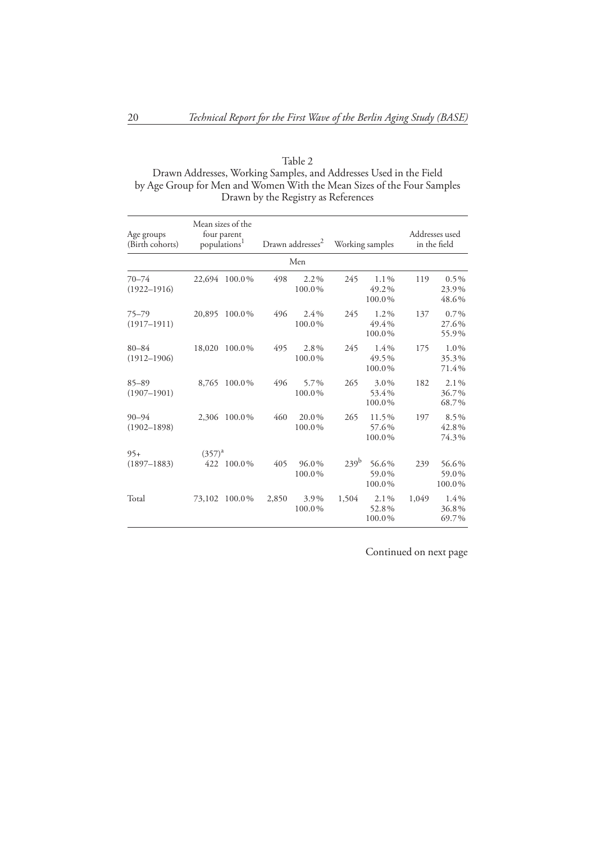| Table 2                                                                |  |
|------------------------------------------------------------------------|--|
| Drawn Addresses, Working Samples, and Addresses Used in the Field      |  |
| by Age Group for Men and Women With the Mean Sizes of the Four Samples |  |
| Drawn by the Registry as References                                    |  |
|                                                                        |  |

| Age groups<br>(Birth cohorts) | populations <sup>1</sup> | Mean sizes of the<br>four parent |       | Drawn addresses <sup>2</sup> | Working samples  |                            | Addresses used<br>in the field |                           |
|-------------------------------|--------------------------|----------------------------------|-------|------------------------------|------------------|----------------------------|--------------------------------|---------------------------|
|                               |                          |                                  |       | Men                          |                  |                            |                                |                           |
| $70 - 74$<br>$(1922 - 1916)$  | 22,694                   | 100.0%                           | 498   | $2.2\%$<br>100.0%            | 245              | $1.1\%$<br>49.2%<br>100.0% | 119                            | $0.5\%$<br>23.9%<br>48.6% |
| $75 - 79$<br>$(1917 - 1911)$  | 20,895                   | 100.0%                           | 496   | 2.4%<br>100.0%               | 245              | 1.2%<br>49.4%<br>100.0%    | 137                            | $0.7\%$<br>27.6%<br>55.9% |
| $80 - 84$<br>$(1912 - 1906)$  | 18,020                   | 100.0%                           | 495   | 2.8%<br>100.0%               | 245              | $1.4\%$<br>49.5%<br>100.0% | 175                            | 1.0%<br>35.3%<br>71.4%    |
| $85 - 89$<br>$(1907 - 1901)$  | 8,765                    | 100.0%                           | 496   | 5.7%<br>100.0%               | 265              | 3.0%<br>53.4%<br>100.0%    | 182                            | 2.1%<br>36.7%<br>68.7%    |
| $90 - 94$<br>$(1902 - 1898)$  | 2,306                    | 100.0%                           | 460   | 20.0%<br>100.0%              | 265              | 11.5%<br>57.6%<br>100.0%   | 197                            | 8.5%<br>42.8%<br>74.3%    |
| $95+$<br>$(1897 - 1883)$      | $(357)^{a}$<br>422       | 100.0%                           | 405   | 96.0%<br>100.0%              | 239 <sup>b</sup> | 56.6%<br>59.0%<br>100.0%   | 239                            | 56.6%<br>59.0%<br>100.0%  |
| Total                         | 73,102                   | 100.0%                           | 2,850 | 3.9%<br>100.0%               | 1,504            | 2.1%<br>52.8%<br>100.0%    | 1,049                          | $1.4\%$<br>36.8%<br>69.7% |

Continued on next page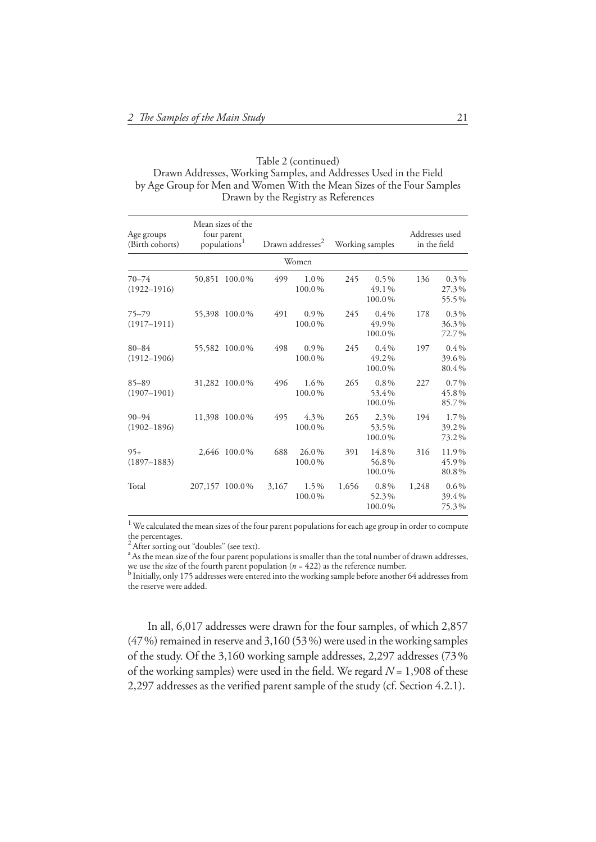Table 2 (continued) Drawn Addresses, Working Samples, and Addresses Used in the Field by Age Group for Men and Women With the Mean Sizes of the Four Samples Drawn by the Registry as References

| Age groups<br>(Birth cohorts) |        | Mean sizes of the<br>four parent<br>populations <sup>1</sup> | Drawn addresses <sup>2</sup><br>Working samples |                   |       |                            | Addresses used<br>in the field |                           |
|-------------------------------|--------|--------------------------------------------------------------|-------------------------------------------------|-------------------|-------|----------------------------|--------------------------------|---------------------------|
|                               |        |                                                              |                                                 | Women             |       |                            |                                |                           |
| $70 - 74$<br>$(1922 - 1916)$  | 50,851 | 100.0%                                                       | 499                                             | $1.0\%$<br>100.0% | 245   | $0.5\%$<br>49.1%<br>100.0% | 136                            | $0.3\%$<br>27.3%<br>55.5% |
| $75 - 79$<br>$(1917 - 1911)$  |        | 55,398 100.0%                                                | 491                                             | $0.9\%$<br>100.0% | 245   | $0.4\%$<br>49.9%<br>100.0% | 178                            | $0.3\%$<br>36.3%<br>72.7% |
| $80 - 84$<br>$(1912 - 1906)$  |        | 55,582 100.0%                                                | 498                                             | $0.9\%$<br>100.0% | 245   | $0.4\%$<br>49.2%<br>100.0% | 197                            | $0.4\%$<br>39.6%<br>80.4% |
| $85 - 89$<br>$(1907 - 1901)$  | 31,282 | 100.0%                                                       | 496                                             | $1.6\%$<br>100.0% | 265   | $0.8\%$<br>53.4%<br>100.0% | 227                            | $0.7\%$<br>45.8%<br>85.7% |
| $90 - 94$<br>$(1902 - 1896)$  |        | 11,398 100.0%                                                | 495                                             | $4.3\%$<br>100.0% | 265   | $2.3\%$<br>53.5%<br>100.0% | 194                            | 1.7%<br>39.2%<br>73.2%    |
| $95+$<br>$(1897 - 1883)$      | 2.646  | 100.0%                                                       | 688                                             | 26.0%<br>100.0%   | 391   | 14.8%<br>56.8%<br>100.0%   | 316                            | 11.9%<br>45.9%<br>80.8%   |
| Total                         |        | 207,157 100.0%                                               | 3,167                                           | 1.5%<br>100.0%    | 1,656 | $0.8\%$<br>52.3%<br>100.0% | 1,248                          | $0.6\%$<br>39.4%<br>75.3% |

 $^1$  We calculated the mean sizes of the four parent populations for each age group in order to compute

the percentages.<br><sup>2</sup> After sorting out "doubles" (see text).

<sup>a</sup> As the mean size of the four parent populations is smaller than the total number of drawn addresses, we use the size of the fourth parent population ( $n = 422$ ) as the reference number.<br><sup>b</sup> Initially, only 175 addresses were entered into the working sample before another 64 addresses from

the reserve were added.

In all, 6,017 addresses were drawn for the four samples, of which 2,857  $(47%)$  remained in reserve and  $3,160 (53%)$  were used in the working samples of the study. Of the 3,160 working sample addresses, 2,297 addresses (73 % of the working samples) were used in the field. We regard  $N = 1,908$  of these 2,297 addresses as the verified parent sample of the study (cf. Section 4.2.1).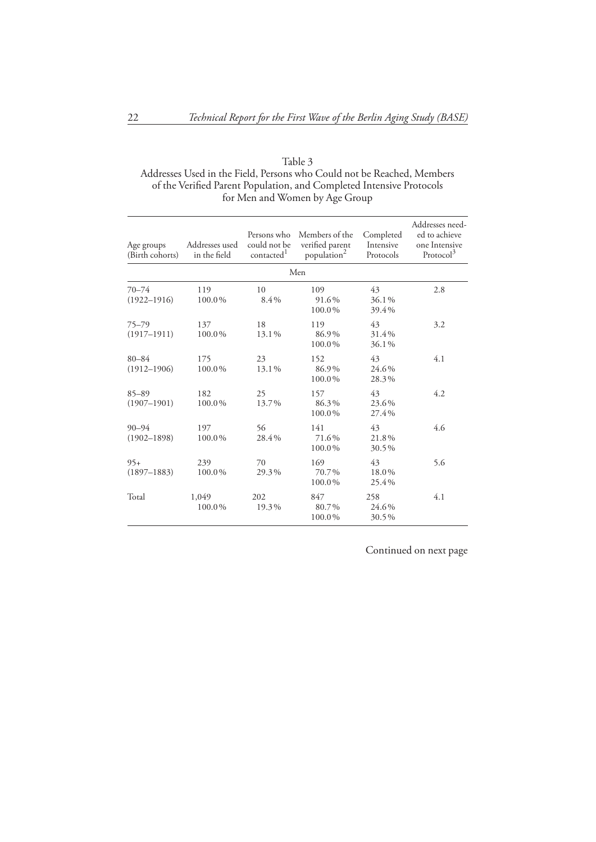| Age groups<br>(Birth cohorts) | Addresses used<br>in the field | Persons who<br>could not be<br>contacted <sup>1</sup> | Members of the<br>verified parent<br>population <sup>2</sup> | Completed<br>Intensive<br>Protocols | Addresses need-<br>ed to achieve<br>one Intensive<br>Protocol <sup>3</sup> |
|-------------------------------|--------------------------------|-------------------------------------------------------|--------------------------------------------------------------|-------------------------------------|----------------------------------------------------------------------------|
|                               |                                |                                                       | Men                                                          |                                     |                                                                            |
| $70 - 74$<br>$(1922 - 1916)$  | 119<br>100.0%                  | 10<br>8.4%                                            | 109<br>91.6%<br>100.0%                                       | 43<br>36.1%<br>39.4%                | 2.8                                                                        |
| $75 - 79$<br>$(1917 - 1911)$  | 137<br>100.0%                  | 18<br>13.1%                                           | 119<br>86.9%<br>100.0%                                       | 43<br>31.4%<br>36.1%                | 3.2                                                                        |
| $80 - 84$<br>$(1912 - 1906)$  | 175<br>100.0%                  | 23<br>13.1%                                           | 152<br>86.9%<br>100.0%                                       | 43<br>24.6%<br>28.3%                | 4.1                                                                        |
| $85 - 89$<br>$(1907 - 1901)$  | 182<br>100.0%                  | 25<br>13.7%                                           | 157<br>86.3%<br>100.0%                                       | 43<br>23.6%<br>27.4%                | 4.2                                                                        |
| $90 - 94$<br>$(1902 - 1898)$  | 197<br>100.0%                  | 56<br>28.4%                                           | 141<br>71.6%<br>100.0%                                       | 43<br>21.8%<br>30.5%                | 4.6                                                                        |
| $95+$<br>$(1897 - 1883)$      | 239<br>100.0%                  | 70<br>29.3%                                           | 169<br>70.7%<br>100.0%                                       | 43<br>18.0%<br>25.4%                | 5.6                                                                        |
| Total                         | 1,049<br>100.0%                | 202<br>19.3%                                          | 847<br>80.7%<br>100.0%                                       | 258<br>24.6%<br>30.5%               | 4.1                                                                        |

Continued on next page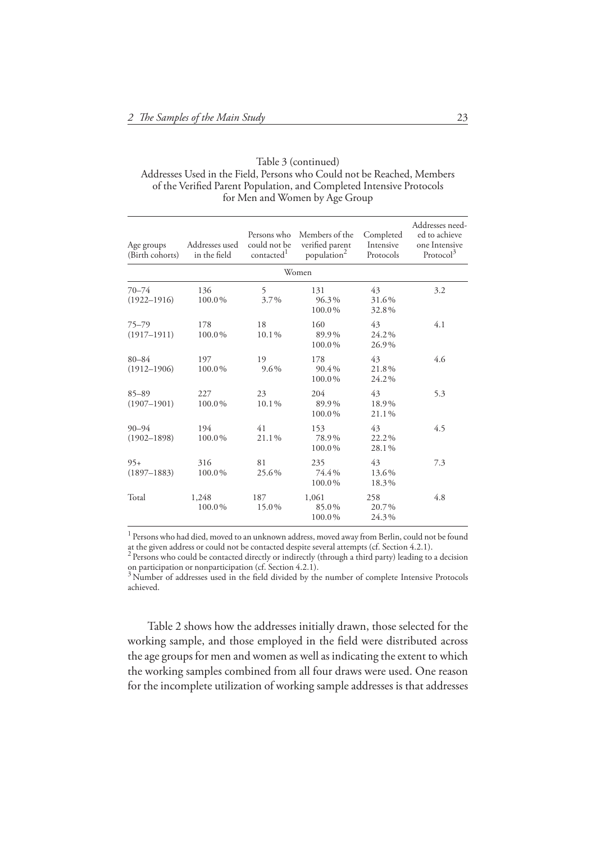Table 3 (continued) Addresses Used in the Field, Persons who Could not be Reached, Members of the Verified Parent Population, and Completed Intensive Protocols for Men and Women by Age Group

| Age groups<br>(Birth cohorts) | Addresses used<br>in the field | Persons who<br>could not be<br>contacted <sup>1</sup> | Members of the<br>verified parent<br>population <sup>2</sup> | Completed<br>Intensive<br>Protocols | Addresses need-<br>ed to achieve<br>one Intensive<br>Protocol <sup>3</sup> |
|-------------------------------|--------------------------------|-------------------------------------------------------|--------------------------------------------------------------|-------------------------------------|----------------------------------------------------------------------------|
|                               |                                |                                                       | Women                                                        |                                     |                                                                            |
| $70 - 74$<br>$(1922 - 1916)$  | 136<br>100.0%                  | 5<br>3.7%                                             | 131<br>96.3%<br>100.0%                                       | 43<br>31.6%<br>32.8%                | 3.2                                                                        |
| $75 - 79$<br>$(1917 - 1911)$  | 178<br>100.0%                  | 18<br>10.1%                                           | 160<br>89.9%<br>100.0%                                       | 43<br>24.2%<br>26.9%                | 4.1                                                                        |
| $80 - 84$<br>$(1912 - 1906)$  | 197<br>100.0%                  | 19<br>9.6%                                            | 178<br>90.4%<br>100.0%                                       | 43<br>21.8%<br>24.2%                | 4.6                                                                        |
| $85 - 89$<br>$(1907 - 1901)$  | 227<br>100.0%                  | 23<br>10.1%                                           | 204<br>89.9%<br>100.0%                                       | 43<br>18.9%<br>21.1%                | 5.3                                                                        |
| $90 - 94$<br>$(1902 - 1898)$  | 194<br>100.0%                  | 41<br>21.1%                                           | 153<br>78.9%<br>100.0%                                       | 43<br>22.2%<br>28.1%                | 4.5                                                                        |
| $95+$<br>$(1897 - 1883)$      | 316<br>100.0%                  | 81<br>25.6%                                           | 235<br>74.4%<br>100.0%                                       | 43<br>13.6%<br>18.3%                | 7.3                                                                        |
| Total                         | 1,248<br>100.0%                | 187<br>15.0%                                          | 1,061<br>85.0%<br>100.0%                                     | 258<br>20.7%<br>24.3%               | 4.8                                                                        |

<sup>1</sup> Persons who had died, moved to an unknown address, moved away from Berlin, could not be found at the given address or could not be contacted despite several attempts (cf. Section 4.2.1).<br><sup>2</sup> Persons who could be contacted directly or indirectly (through a third party) leading to a decision

Table 2 shows how the addresses initially drawn, those selected for the working sample, and those employed in the field were distributed across the age groups for men and women as well as indicating the extent to which the working samples combined from all four draws were used. One reason for the incomplete utilization of working sample addresses is that addresses

on participation or nonparticipation (cf. Section 4.2.1).<br><sup>3</sup> Number of addresses used in the field divided by the number of complete Intensive Protocols

achieved.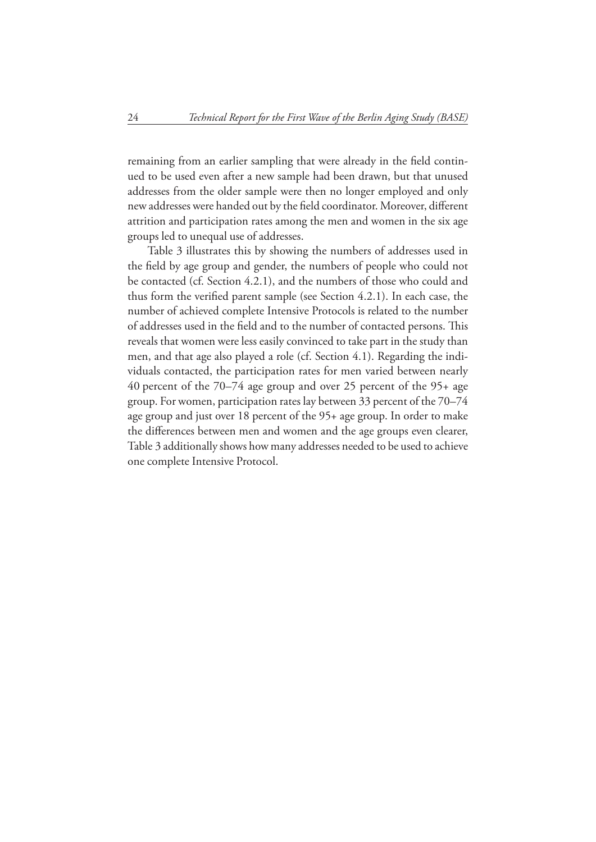remaining from an earlier sampling that were already in the field continued to be used even after a new sample had been drawn, but that unused addresses from the older sample were then no longer employed and only new addresses were handed out by the field coordinator. Moreover, different attrition and participation rates among the men and women in the six age groups led to unequal use of addresses.

Table 3 illustrates this by showing the numbers of addresses used in the field by age group and gender, the numbers of people who could not be contacted (cf. Section 4.2.1), and the numbers of those who could and thus form the verified parent sample (see Section  $4.2.1$ ). In each case, the number of achieved complete Intensive Protocols is related to the number of addresses used in the field and to the number of contacted persons. This reveals that women were less easily convinced to take part in the study than men, and that age also played a role (cf. Section 4.1). Regarding the individuals contacted, the participation rates for men varied between nearly 40 percent of the 70–74 age group and over 25 percent of the 95+ age group. For women, participation rates lay between 33 percent of the 70–74 age group and just over 18 percent of the 95+ age group. In order to make the differences between men and women and the age groups even clearer, Table 3 additionally shows how many addresses needed to be used to achieve one complete Intensive Protocol.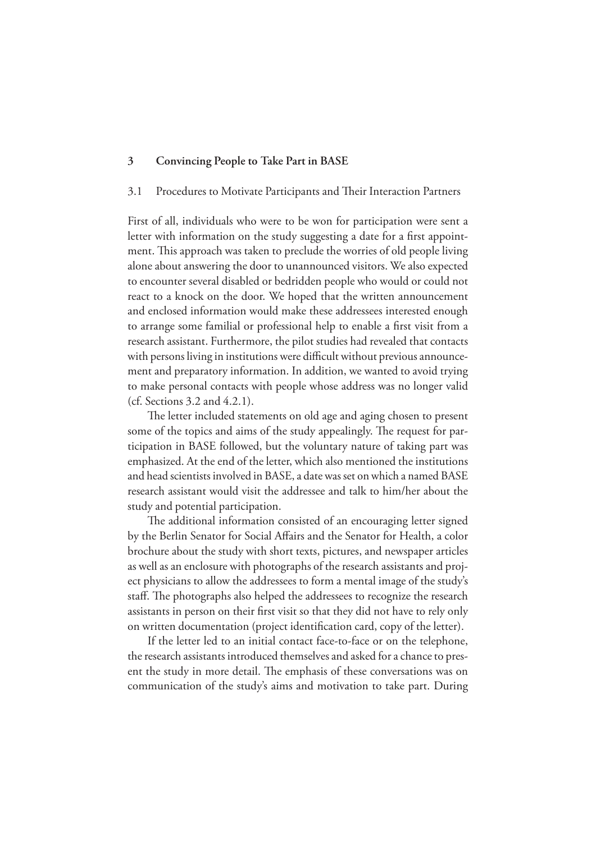#### **3 Convincing People to Take Part in BASE**

#### 3.1 Procedures to Motivate Participants and Their Interaction Partners

First of all, individuals who were to be won for participation were sent a letter with information on the study suggesting a date for a first appointment. This approach was taken to preclude the worries of old people living alone about answering the door to unannounced visitors. We also expected to encounter several disabled or bedridden people who would or could not react to a knock on the door. We hoped that the written announcement and enclosed information would make these addressees interested enough to arrange some familial or professional help to enable a first visit from a research assistant. Furthermore, the pilot studies had revealed that contacts with persons living in institutions were difficult without previous announcement and preparatory information. In addition, we wanted to avoid trying to make personal contacts with people whose address was no longer valid (cf. Sections 3.2 and 4.2.1).

The letter included statements on old age and aging chosen to present some of the topics and aims of the study appealingly. The request for participation in BASE followed, but the voluntary nature of taking part was emphasized. At the end of the letter, which also mentioned the institutions and head scientists involved in BASE, a date was set on which a named BASE research assistant would visit the addressee and talk to him/her about the study and potential participation.

The additional information consisted of an encouraging letter signed by the Berlin Senator for Social Affairs and the Senator for Health, a color brochure about the study with short texts, pictures, and newspaper articles as well as an enclosure with photographs of the research assistants and project physicians to allow the addressees to form a mental image of the study's staff. The photographs also helped the addressees to recognize the research assistants in person on their first visit so that they did not have to rely only on written documentation (project identification card, copy of the letter).

If the letter led to an initial contact face-to-face or on the telephone, the research assistants introduced themselves and asked for a chance to present the study in more detail. The emphasis of these conversations was on communication of the study's aims and motivation to take part. During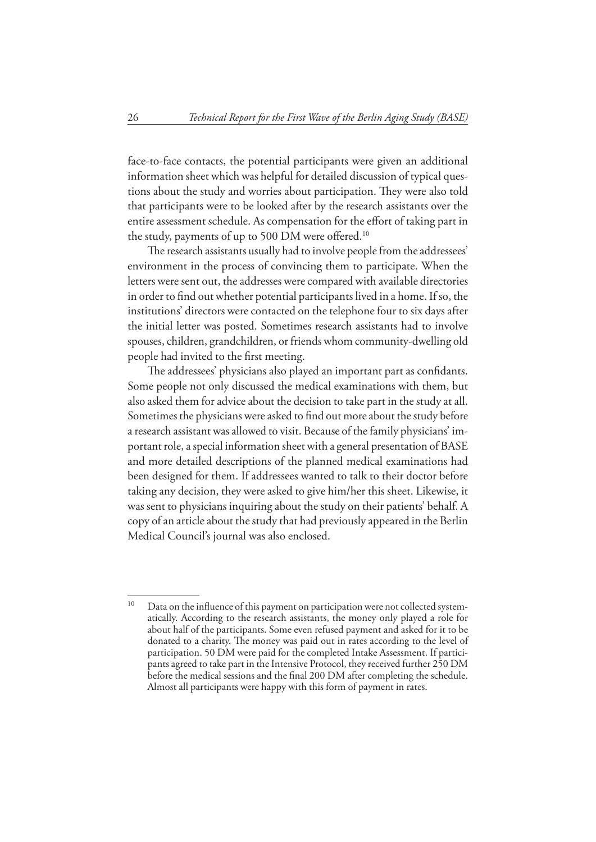face-to-face contacts, the potential participants were given an additional information sheet which was helpful for detailed discussion of typical questions about the study and worries about participation. They were also told that participants were to be looked after by the research assistants over the entire assessment schedule. As compensation for the effort of taking part in the study, payments of up to 500 DM were offered.<sup>10</sup>

The research assistants usually had to involve people from the addressees' environment in the process of convincing them to participate. When the letters were sent out, the addresses were compared with available directories in order to find out whether potential participants lived in a home. If so, the institutions' directors were contacted on the telephone four to six days after the initial letter was posted. Sometimes research assistants had to involve spouses, children, grandchildren, or friends whom community-dwelling old people had invited to the first meeting.

The addressees' physicians also played an important part as confidants. Some people not only discussed the medical examinations with them, but also asked them for advice about the decision to take part in the study at all. Sometimes the physicians were asked to find out more about the study before a research assistant was allowed to visit. Because of the family physicians' important role, a special information sheet with a general presentation of BASE and more detailed descriptions of the planned medical examinations had been designed for them. If addressees wanted to talk to their doctor before taking any decision, they were asked to give him/her this sheet. Likewise, it was sent to physicians inquiring about the study on their patients' behalf. A copy of an article about the study that had previously appeared in the Berlin Medical Council's journal was also enclosed.

 $10$  Data on the influence of this payment on participation were not collected systema tically. According to the research assistants, the money only played a role for about half of the participants. Some even refused payment and asked for it to be donated to a charity. The money was paid out in rates according to the level of participation. 50 DM were paid for the completed Intake Assessment. If participants agreed to take part in the Intensive Protocol, they received further 250 DM before the medical sessions and the final 200 DM after completing the schedule. Almost all participants were happy with this form of payment in rates.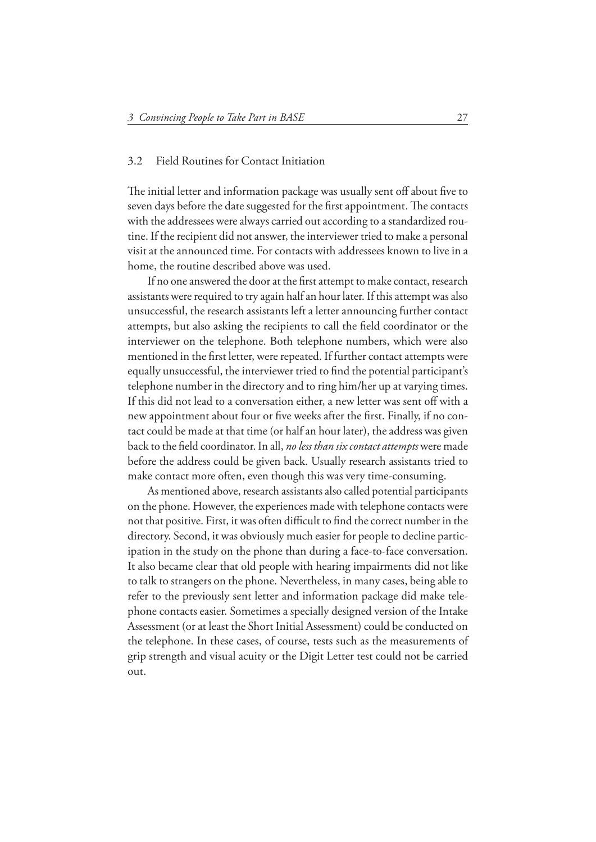#### 3.2 Field Routines for Contact Initiation

The initial letter and information package was usually sent off about five to seven days before the date suggested for the first appointment. The contacts with the addressees were always carried out according to a standardized routine. If the recipient did not answer, the interviewer tried to make a personal visit at the announced time. For contacts with addressees known to live in a home, the routine described above was used.

If no one answered the door at the first attempt to make contact, research assistants were required to try again half an hour later. If this attempt was also unsuccessful, the research assistants left a letter announcing further contact attempts, but also asking the recipients to call the field coordinator or the interviewer on the telephone. Both telephone numbers, which were also mentioned in the first letter, were repeated. If further contact attempts were equally unsuccessful, the interviewer tried to find the potential participant's telephone number in the directory and to ring him/her up at varying times. If this did not lead to a conversation either, a new letter was sent off with a new appointment about four or five weeks after the first. Finally, if no contact could be made at that time (or half an hour later), the address was given back to the field coordinator. In all, *no less than six contact attempts* were made before the address could be given back. Usually research assistants tried to make contact more often, even though this was very time-consuming.

As mentioned above, research assistants also called potential participants on the phone. However, the experiences made with telephone contacts were not that positive. First, it was often difficult to find the correct number in the directory. Second, it was obviously much easier for people to decline participation in the study on the phone than during a face-to-face conversation. It also became clear that old people with hearing impairments did not like to talk to strangers on the phone. Nevertheless, in many cases, being able to refer to the previously sent letter and information package did make telephone contacts easier. Sometimes a specially designed version of the Intake Assessment (or at least the Short Initial Assessment) could be conducted on the telephone. In these cases, of course, tests such as the measurements of grip strength and visual acuity or the Digit Letter test could not be carried out.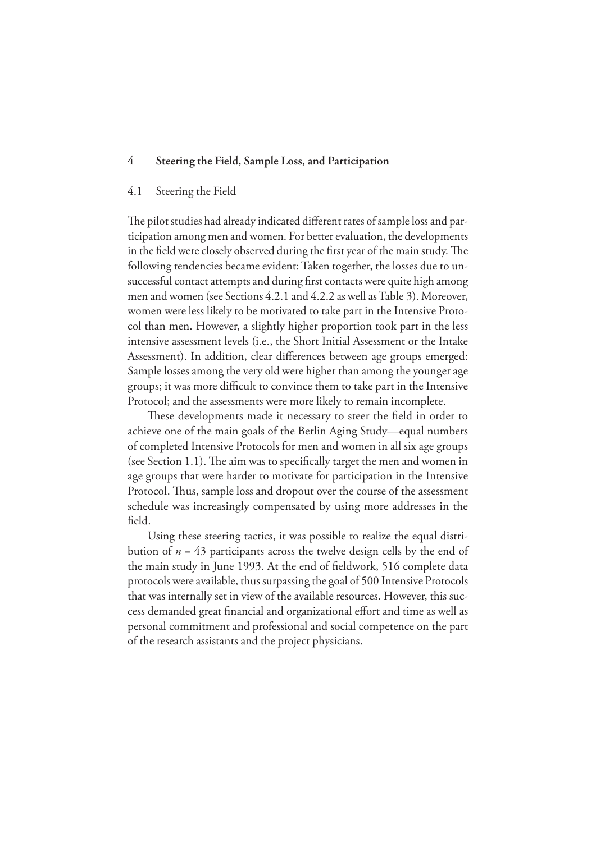#### **4 Steering the Field, Sample Loss, and Participation**

#### 4.1 Steering the Field

The pilot studies had already indicated different rates of sample loss and participation among men and women. For better evaluation, the developments in the field were closely observed during the first year of the main study. The following tendencies became evident: Taken together, the losses due to unsuccessful contact attempts and during first contacts were quite high among men and women (see Sections 4.2.1 and 4.2.2 as well as Table 3). Moreover, women were less likely to be motivated to take part in the Intensive Protocol than men. However, a slightly higher proportion took part in the less intensive assessment levels (i.e., the Short Initial Assessment or the Intake Assessment). In addition, clear differences between age groups emerged: Sample losses among the very old were higher than among the younger age groups; it was more difficult to convince them to take part in the Intensive Protocol; and the assessments were more likely to remain incomplete.

These developments made it necessary to steer the field in order to achieve one of the main goals of the Berlin Aging Study—equal numbers of completed Intensive Protocols for men and women in all six age groups (see Section 1.1). The aim was to specifically target the men and women in age groups that were harder to motivate for participation in the Intensive Protocol. Thus, sample loss and dropout over the course of the assessment schedule was increasingly compensated by using more addresses in the field.

Using these steering tactics, it was possible to realize the equal distribution of  $n = 43$  participants across the twelve design cells by the end of the main study in June 1993. At the end of fieldwork, 516 complete data protocols were available, thus surpassing the goal of 500 Intensive Protocols that was internally set in view of the available resources. However, this success demanded great financial and organizational effort and time as well as personal commitment and professional and social competence on the part of the research assistants and the project physicians.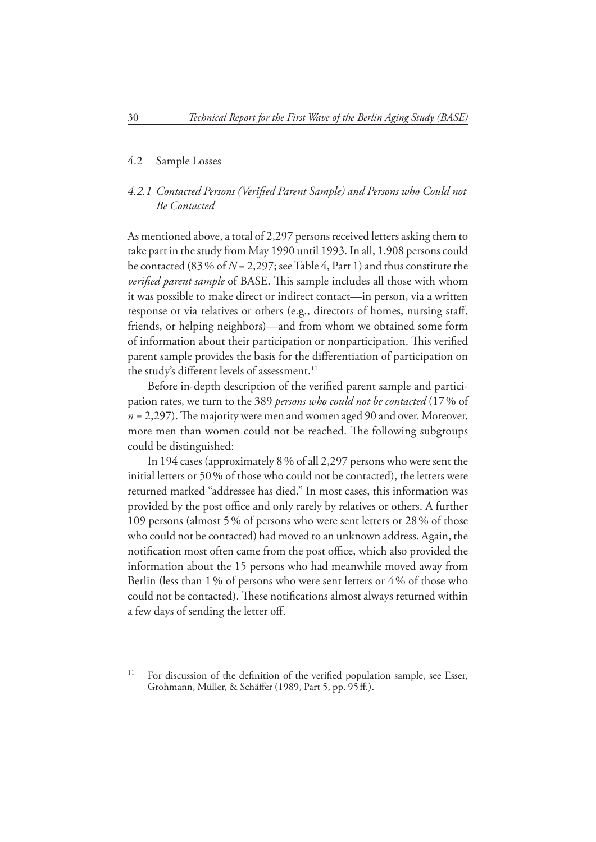#### 4.2 Sample Losses

#### 4.2.1 Contacted Persons (Verified Parent Sample) and Persons who Could not  *Be Contacted*

As mentioned above, a total of 2,297 persons received letters asking them to take part in the study from May 1990 until 1993. In all, 1,908 persons could be contacted (83 % of *N* = 2,297; see Table 4, Part 1) and thus constitute the *verified parent sample* of BASE. This sample includes all those with whom it was possible to make direct or indirect contact—in person, via a written response or via relatives or others (e.g., directors of homes, nursing staff, friends, or helping neighbors)—and from whom we obtained some form of information about their participation or nonparticipation. This verified parent sample provides the basis for the differentiation of participation on the study's different levels of assessment.<sup>11</sup>

Before in-depth description of the verified parent sample and participation rates, we turn to the 389 *persons who could not be contacted* (17 % of  $n = 2,297$ . The majority were men and women aged 90 and over. Moreover, more men than women could not be reached. The following subgroups could be distinguished:

In 194 cases (approximately 8 % of all 2,297 persons who were sent the initial letters or 50 % of those who could not be contacted), the letters were returned marked "addressee has died." In most cases, this information was provided by the post office and only rarely by relatives or others. A further 109 persons (almost 5 % of persons who were sent letters or 28 % of those who could not be contacted) had moved to an unknown address. Again, the notification most often came from the post office, which also provided the information about the 15 persons who had meanwhile moved away from Berlin (less than 1 % of persons who were sent letters or 4 % of those who could not be contacted). These notifications almost always returned within a few days of sending the letter off.

 $11$  For discussion of the definition of the verified population sample, see Esser, Grohmann, Müller, & Schäffer (1989, Part 5, pp. 95 ff.).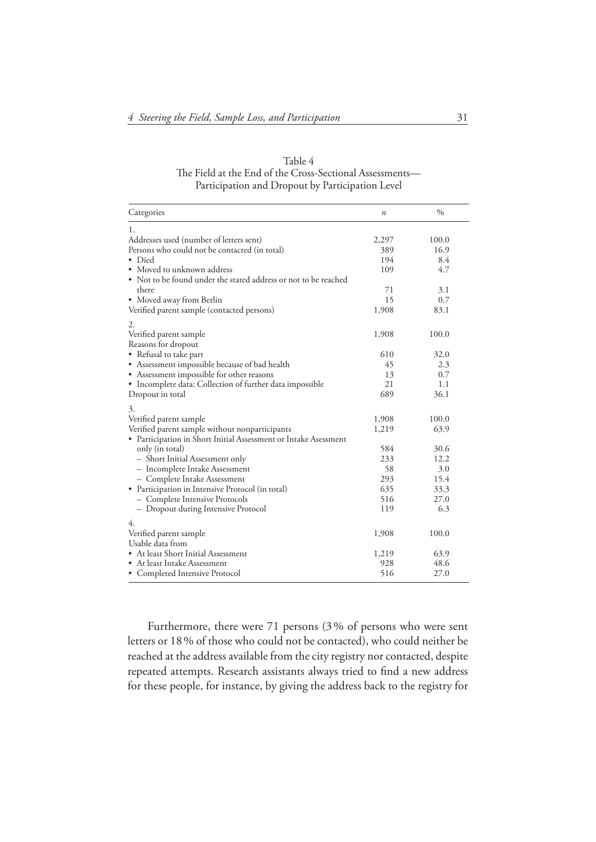| Table 4                                                  |
|----------------------------------------------------------|
| The Field at the End of the Cross-Sectional Assessments— |
| Participation and Dropout by Participation Level         |

| Categories                                                      | $\boldsymbol{n}$ | $\frac{0}{0}$ |
|-----------------------------------------------------------------|------------------|---------------|
| 1.                                                              |                  |               |
| Addresses used (number of letters sent)                         | 2,297            | 100.0         |
| Persons who could not be contacted (in total)                   | 389              | 16.9          |
| • Died                                                          | 194              | 8.4           |
| • Moved to unknown address                                      | 109              | 4.7           |
| • Not to be found under the stated address or not to be reached |                  |               |
| there                                                           | 71               | 3.1           |
| • Moved away from Berlin                                        | 15               | 0.7           |
| Verified parent sample (contacted persons)                      | 1,908            | 83.1          |
| 2.                                                              |                  |               |
| Verified parent sample                                          | 1,908            | 100.0         |
| Reasons for dropout                                             |                  |               |
| • Refusal to take part                                          | 610              | 32.0          |
| • Assessment impossible because of bad health                   | 45               | 2.3           |
| • Assessment impossible for other reasons                       | 13               | 0.7           |
| • Incomplete data: Collection of further data impossible        | 21               | 1.1           |
| Dropout in total                                                | 689              | 36.1          |
| 3.                                                              |                  |               |
| Verified parent sample                                          | 1,908            | 100.0         |
| Verified parent sample without nonparticipants                  | 1,219            | 63.9          |
| • Participation in Short Initial Assessment or Intake Asessment |                  |               |
| only (in total)                                                 | 584              | 30.6          |
| - Short Initial Assessment only                                 | 233              | 12.2          |
| - Incomplete Intake Assessment                                  | 58               | 3.0           |
| - Complete Intake Assessment                                    | 293              | 15.4          |
| • Participation in Intensive Protocol (in total)                | 635              | 33.3          |
| - Complete Intensive Protocols                                  | 516              | 27.0          |
| - Dropout during Intensive Protocol                             | 119              | 6.3           |
| 4.                                                              |                  |               |
| Verified parent sample                                          | 1,908            | 100.0         |
| Usable data from                                                |                  |               |
| • At least Short Initial Assessment                             | 1,219            | 63.9          |
| • At least Intake Assessment                                    | 928              | 48.6          |
| • Completed Intensive Protocol                                  | 516              | 27.0          |

Furthermore, there were 71 persons (3 % of persons who were sent letters or 18 % of those who could not be contacted), who could neither be reached at the address available from the city registry nor contacted, despite repeated attempts. Research assistants always tried to find a new address for these people, for instance, by giving the address back to the registry for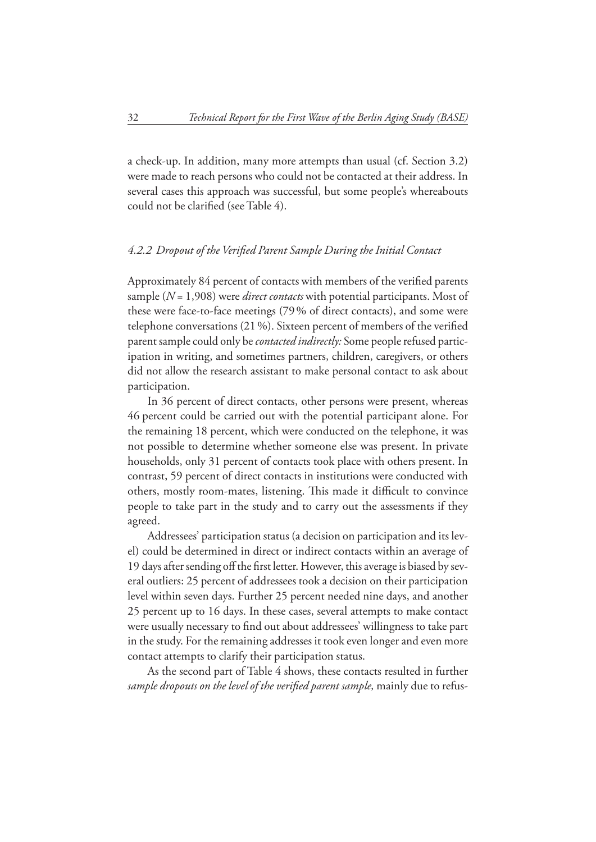a check-up. In addition, many more attempts than usual (cf. Section 3.2) were made to reach persons who could not be contacted at their address. In several cases this approach was successful, but some people's whereabouts could not be clarified (see Table 4).

#### 4.2.2 Dropout of the Verified Parent Sample During the Initial Contact

Approximately 84 percent of contacts with members of the verified parents sample (*N* = 1,908) were *direct contacts* with potential participants. Most of these were face-to-face meetings (79 % of direct contacts), and some were telephone conversations (21 %). Sixteen percent of members of the verified parent sample could only be *contacted indirectly:* Some people refused participation in writing, and sometimes partners, children, caregivers, or others did not allow the research assistant to make personal contact to ask about participation.

In 36 percent of direct contacts, other persons were present, whereas 46 percent could be carried out with the potential participant alone. For the remaining 18 percent, which were conducted on the telephone, it was not possible to determine whether someone else was present. In private households, only 31 percent of contacts took place with others present. In contrast, 59 percent of direct contacts in institutions were conducted with others, mostly room-mates, listening. This made it difficult to convince people to take part in the study and to carry out the assessments if they agreed.

Addressees' participation status (a decision on participation and its level) could be determined in direct or indirect contacts within an average of 19 days after sending off the first letter. However, this average is biased by several outliers: 25 percent of addressees took a decision on their participation level within seven days. Further 25 percent needed nine days, and another 25 percent up to 16 days. In these cases, several attempts to make contact were usually necessary to find out about addressees' willingness to take part in the study. For the remaining addresses it took even longer and even more contact attempts to clarify their participation status.

As the second part of Table 4 shows, these contacts resulted in further sample dropouts on the level of the verified parent sample, mainly due to refus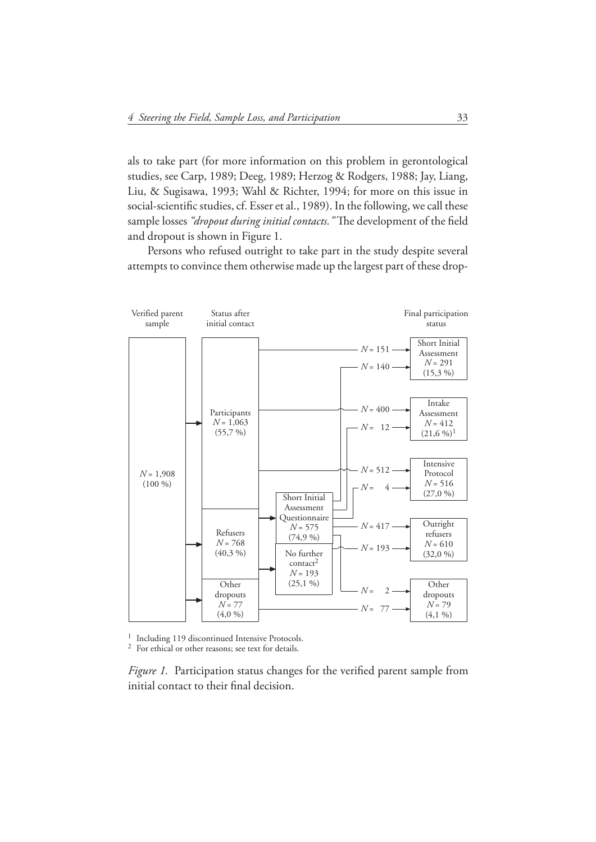als to take part (for more information on this problem in gerontological studies, see Carp, 1989; Deeg, 1989; Herzog & Rodgers, 1988; Jay, Liang, Liu, & Sugisawa, 1993; Wahl & Richter, 1994; for more on this issue in social-scientific studies, cf. Esser et al., 1989). In the following, we call these sample losses "dropout during initial contacts." The development of the field and dropout is shown in Figure 1.

Persons who refused outright to take part in the study despite several attempts to convince them otherwise made up the largest part of these drop-



<sup>1</sup> Including 119 discontinued Intensive Protocols.<br><sup>2</sup> For ethical or other reasons; see text for details.

*Figure 1.* Participation status changes for the verified parent sample from initial contact to their final decision.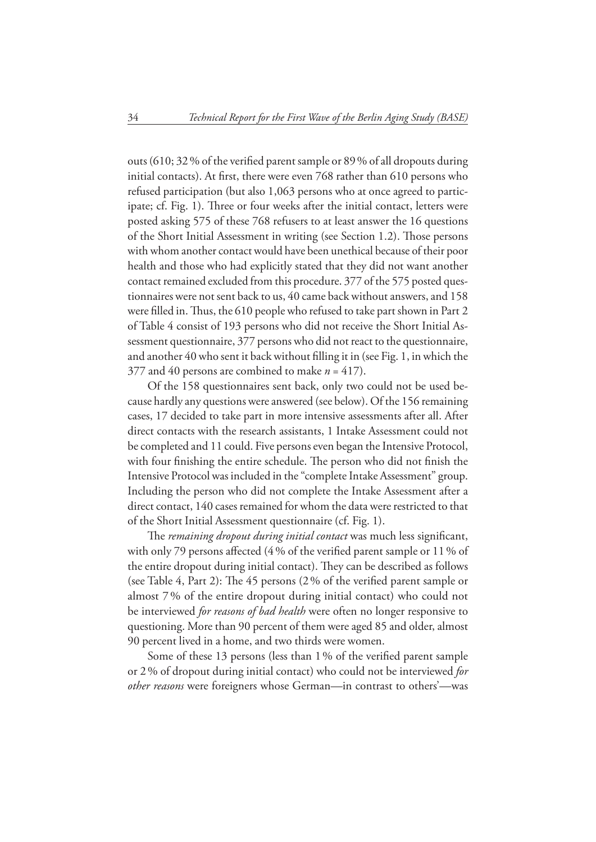outs (610; 32 % of the verified parent sample or 89 % of all dropouts during initial contacts). At first, there were even 768 rather than 610 persons who refused participation (but also 1,063 persons who at once agreed to participate; cf. Fig. 1). Three or four weeks after the initial contact, letters were posted asking 575 of these 768 refusers to at least answer the 16 questions of the Short Initial Assessment in writing (see Section 1.2). Those persons with whom another contact would have been unethical because of their poor health and those who had explicitly stated that they did not want another contact remained excluded from this procedure. 377 of the 575 posted questionnaires were not sent back to us, 40 came back without answers, and 158 were filled in. Thus, the 610 people who refused to take part shown in Part 2 of Table 4 consist of 193 persons who did not receive the Short Initial Assessment questionnaire, 377 persons who did not react to the questionnaire, and another  $40$  who sent it back without filling it in (see Fig. 1, in which the 377 and 40 persons are combined to make  $n = 417$ ).

Of the 158 questionnaires sent back, only two could not be used because hardly any questions were answered (see below). Of the 156 remaining cases, 17 decided to take part in more intensive assessments after all. After direct contacts with the research assistants, 1 Intake Assessment could not be completed and 11 could. Five persons even began the Intensive Protocol, with four finishing the entire schedule. The person who did not finish the Intensive Protocol was included in the "complete Intake Assessment" group. Including the person who did not complete the Intake Assessment after a direct contact, 140 cases remained for whom the data were restricted to that of the Short Initial Assessment questionnaire (cf. Fig. 1).

The *remaining dropout during initial contact* was much less significant, with only 79 persons affected (4 % of the verified parent sample or 11 % of the entire dropout during initial contact). They can be described as follows (see Table 4, Part 2): The 45 persons  $(2\%$  of the verified parent sample or almost 7 % of the entire dropout during initial contact) who could not be interviewed *for reasons of bad health* were often no longer responsive to questioning. More than 90 percent of them were aged 85 and older, almost 90 percent lived in a home, and two thirds were women.

Some of these 13 persons (less than 1% of the verified parent sample or 2 % of dropout during initial contact) who could not be interviewed *for other reasons* were foreigners whose German—in contrast to others'—was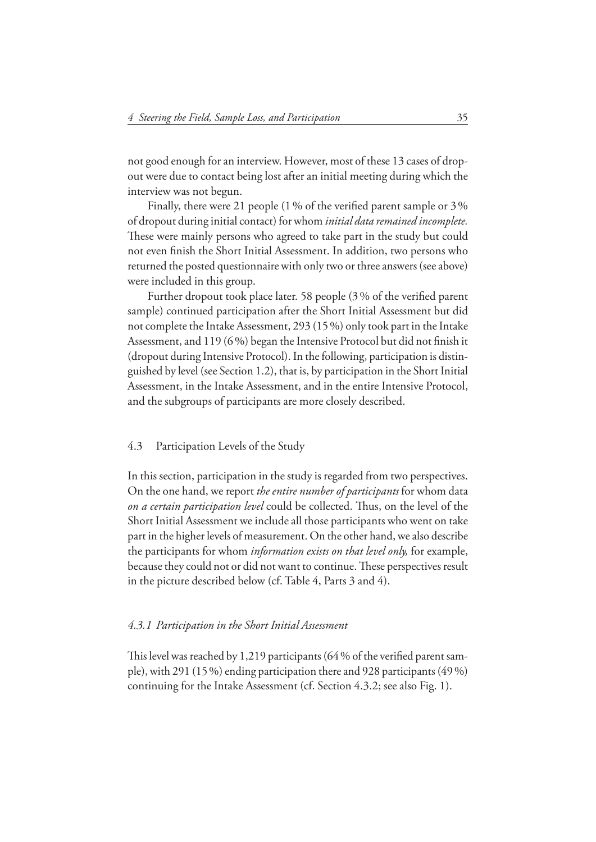not good enough for an interview. However, most of these 13 cases of dropout were due to contact being lost after an initial meeting during which the interview was not begun.

Finally, there were 21 people (1 % of the verified parent sample or  $3\%$ of dropout during initial contact) for whom *initial data remained incomplete.* These were mainly persons who agreed to take part in the study but could not even finish the Short Initial Assessment. In addition, two persons who returned the posted questionnaire with only two or three answers (see above) were included in this group.

Further dropout took place later. 58 people (3% of the verified parent sample) continued participation after the Short Initial Assessment but did not complete the Intake Assessment, 293 (15 %) only took part in the Intake Assessment, and  $119(6\%)$  began the Intensive Protocol but did not finish it (dropout during Intensive Protocol). In the following, participation is distinguished by level (see Section 1.2), that is, by participation in the Short Initial Assessment, in the Intake Assessment, and in the entire Intensive Protocol, and the subgroups of participants are more closely described.

#### 4.3 Participation Levels of the Study

In this section, participation in the study is regarded from two perspectives. On the one hand, we report *the entire number of participants* for whom data *on a certain participation level* could be collected. Thus, on the level of the Short Initial Assessment we include all those participants who went on take part in the higher levels of measurement. On the other hand, we also describe the participants for whom *information exists on that level only,* for example, because they could not or did not want to continue. These perspectives result in the picture described below (cf. Table 4, Parts 3 and 4).

#### *4.3.1 Participation in the Short Initial Assessment*

This level was reached by 1,219 participants  $(64\%$  of the verified parent sample), with 291 (15 %) ending participation there and 928 participants (49 %) continuing for the Intake Assessment (cf. Section 4.3.2; see also Fig. 1).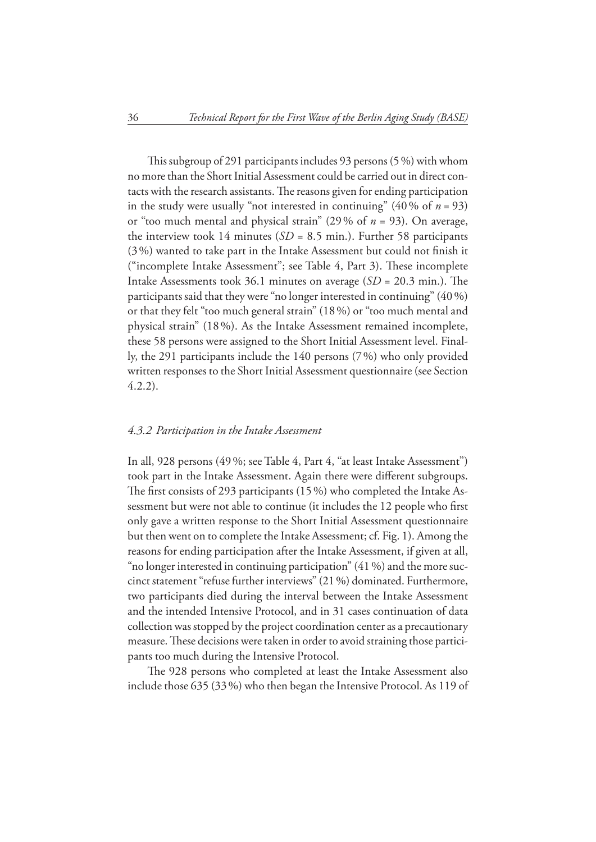This subgroup of 291 participants includes 93 persons  $(5\%)$  with whom no more than the Short Initial Assessment could be carried out in direct contacts with the research assistants. The reasons given for ending participation in the study were usually "not interested in continuing"  $(40\% \text{ of } n = 93)$ or "too much mental and physical strain" (29 % of *n* = 93). On average, the interview took 14 minutes  $(SD = 8.5 \text{ min.})$ . Further 58 participants  $(3%)$  wanted to take part in the Intake Assessment but could not finish it ("incomplete Intake Assessment"; see Table 4, Part 3). These incomplete Intake Assessments took  $36.1$  minutes on average  $(SD = 20.3 \text{ min.})$ . The participants said that they were "no longer interested in continuing" (40 %) or that they felt "too much general strain" (18 %) or "too much mental and physical strain" (18 %). As the Intake Assessment remained incomplete, these 58 persons were assigned to the Short Initial Assessment level. Finally, the 291 participants include the 140 persons (7 %) who only provided written responses to the Short Initial Assessment questionnaire (see Section 4.2.2).

#### *4.3.2 Participation in the Intake Assessment*

In all, 928 persons (49 %; see Table 4, Part 4, "at least Intake Assessment") took part in the Intake Assessment. Again there were different subgroups. The first consists of 293 participants  $(15\%)$  who completed the Intake Assessment but were not able to continue (it includes the 12 people who first only gave a written response to the Short Initial Assessment questionnaire but then went on to complete the Intake Assessment; cf. Fig. 1). Among the reasons for ending participation after the Intake Assessment, if given at all, "no longer interested in continuing participation" (41 %) and the more succinct statement "refuse further interviews" (21 %) dominated. Furthermore, two participants died during the interval between the Intake Assessment and the intended Intensive Protocol, and in 31 cases continuation of data collection was stopped by the project coordination center as a precautionary measure. These decisions were taken in order to avoid straining those participants too much during the Intensive Protocol.

The 928 persons who completed at least the Intake Assessment also include those 635 (33 %) who then began the Intensive Protocol. As 119 of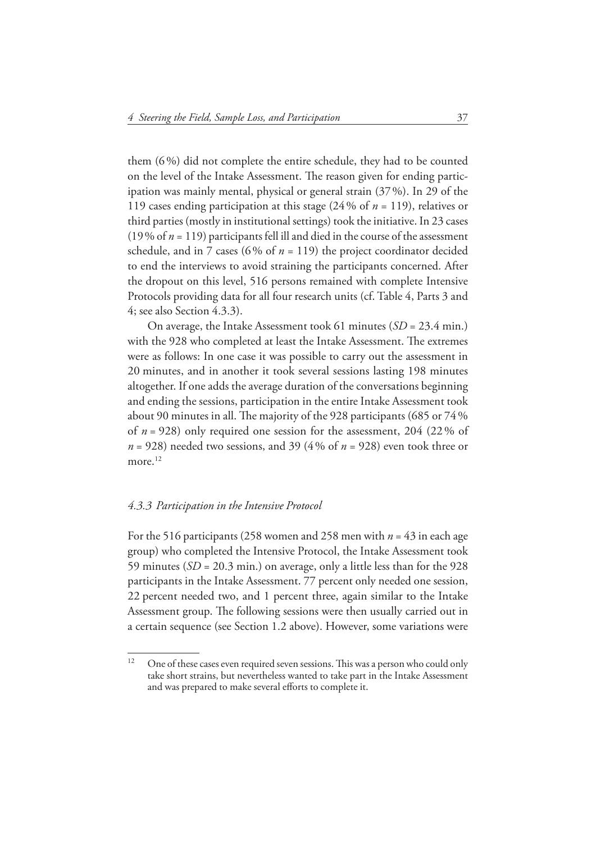them (6 %) did not complete the entire schedule, they had to be counted on the level of the Intake Assessment. The reason given for ending participation was mainly mental, physical or general strain (37 %). In 29 of the 119 cases ending participation at this stage (24 % of *n* = 119), relatives or third parties (mostly in institutional settings) took the initiative. In 23 cases (19 % of  $n = 119$ ) participants fell ill and died in the course of the assessment schedule, and in 7 cases (6% of  $n = 119$ ) the project coordinator decided to end the interviews to avoid straining the participants concerned. After the dropout on this level, 516 persons remained with complete Intensive Protocols providing data for all four research units (cf. Table 4, Parts 3 and 4; see also Section 4.3.3).

On average, the Intake Assessment took 61 minutes (*SD* = 23.4 min.) with the 928 who completed at least the Intake Assessment. The extremes were as follows: In one case it was possible to carry out the assessment in 20 minutes, and in another it took several sessions lasting 198 minutes altogether. If one adds the average duration of the conversations beginning and ending the sessions, participation in the entire Intake Assessment took about 90 minutes in all. The majority of the 928 participants (685 or  $74\%$ ) of *n* = 928) only required one session for the assessment, 204 (22 % of *n* = 928) needed two sessions, and 39 (4 % of *n* = 928) even took three or more.<sup>12</sup>

#### *4.3.3 Participation in the Intensive Protocol*

For the 516 participants (258 women and 258 men with *n* = 43 in each age group) who completed the Intensive Protocol, the Intake Assessment took 59 minutes (*SD* = 20.3 min.) on average, only a little less than for the 928 participants in the Intake Assessment. 77 percent only needed one session, 22 percent needed two, and 1 percent three, again similar to the Intake Assessment group. The following sessions were then usually carried out in a certain sequence (see Section 1.2 above). However, some variations were

 $12$  One of these cases even required seven sessions. This was a person who could only take short strains, but nevertheless wanted to take part in the Intake Assessment and was prepared to make several efforts to complete it.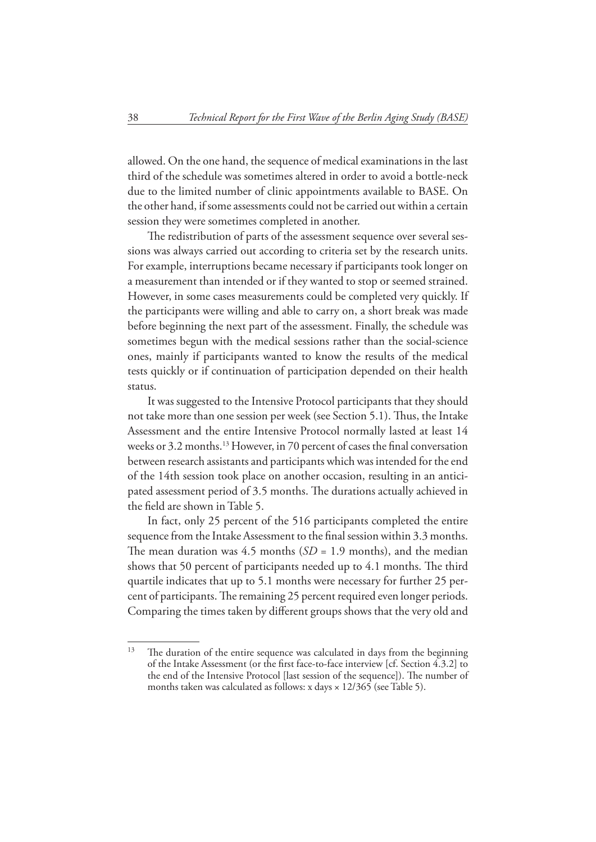allowed. On the one hand, the sequence of medical examinations in the last third of the schedule was sometimes altered in order to avoid a bottle-neck due to the limited number of clinic appointments available to BASE. On the other hand, if some assessments could not be carried out within a certain session they were sometimes completed in another.

The redistribution of parts of the assessment sequence over several sessions was always carried out according to criteria set by the research units. For example, interruptions became necessary if participants took longer on a measurement than intended or if they wanted to stop or seemed strained. However, in some cases measurements could be completed very quickly. If the participants were willing and able to carry on, a short break was made before beginning the next part of the assessment. Finally, the schedule was sometimes begun with the medical sessions rather than the social-science ones, mainly if participants wanted to know the results of the medical tests quickly or if continuation of participation depended on their health status.

It was suggested to the Intensive Protocol participants that they should not take more than one session per week (see Section 5.1). Thus, the Intake Assessment and the entire Intensive Protocol normally lasted at least 14 weeks or 3.2 months.<sup>13</sup> However, in 70 percent of cases the final conversation between research assistants and participants which was intended for the end of the 14th session took place on another occasion, resulting in an anticipated assessment period of 3.5 months. The durations actually achieved in the field are shown in Table 5.

In fact, only 25 percent of the 516 participants completed the entire sequence from the Intake Assessment to the final session within 3.3 months. The mean duration was 4.5 months  $(SD = 1.9$  months), and the median shows that 50 percent of participants needed up to 4.1 months. The third quartile indicates that up to 5.1 months were necessary for further 25 percent of participants. The remaining 25 percent required even longer periods. Comparing the times taken by different groups shows that the very old and

 $13$  The duration of the entire sequence was calculated in days from the beginning of the Intake Assessment (or the first face-to-face interview [cf. Section 4.3.2] to the end of the Intensive Protocol [last session of the sequence]). The number of months taken was calculated as follows: x days × 12/365 (see Table 5).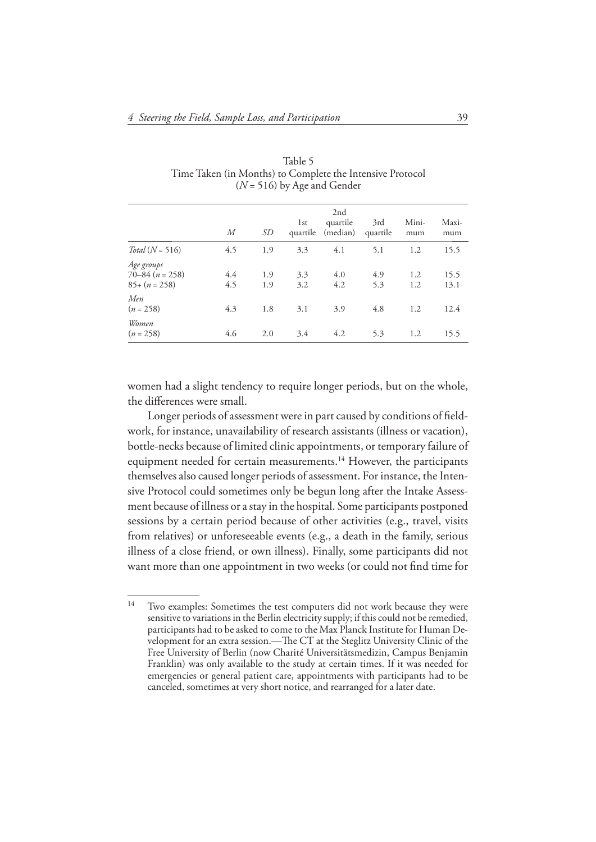|                                                     | М          | SD         | 1st<br>quartile | 2nd<br>quartile<br>(median) | 3rd<br>quartile | Mini-<br>mum | Maxi-<br>mum |
|-----------------------------------------------------|------------|------------|-----------------|-----------------------------|-----------------|--------------|--------------|
| $Total (N = 516)$                                   | 4.5        | 1.9        | 3.3             | 4.1                         | 5.1             | 1.2          | 15.5         |
| Age groups<br>$70 - 84$ $(n = 258)$<br>$85+(n=258)$ | 4.4<br>4.5 | 1.9<br>1.9 | 3.3<br>3.2      | 4.0<br>4.2                  | 4.9<br>5.3      | 1.2<br>1.2   | 15.5<br>13.1 |
| Men<br>$(n = 258)$                                  | 4.3        | 1.8        | 3.1             | 3.9                         | 4.8             | 1.2          | 12.4         |
| Women<br>$(n = 258)$                                | 4.6        | 2.0        | 3.4             | 4.2                         | 5.3             | 1.2          | 15.5         |

Table 5 Time Taken (in Months) to Complete the Intensive Protocol (*N* = 516) by Age and Gender

women had a slight tendency to require longer periods, but on the whole, the differences were small.

Longer periods of assessment were in part caused by conditions of fieldwork, for instance, unavailability of research assistants (illness or vacation), bottle-necks because of limited clinic appointments, or temporary failure of equipment needed for certain measurements.<sup>14</sup> However, the participants themselves also caused longer periods of assessment. For instance, the Intensive Protocol could sometimes only be begun long after the Intake Assessment because of illness or a stay in the hospital. Some participants postponed sessions by a certain period because of other activities (e.g., travel, visits from relatives) or unforeseeable events (e.g., a death in the family, serious illness of a close friend, or own illness). Finally, some participants did not want more than one appointment in two weeks (or could not find time for

<sup>&</sup>lt;sup>14</sup> Two examples: Sometimes the test computers did not work because they were sensitive to variations in the Berlin electricity supply; if this could not be remedied, participants had to be asked to come to the Max Planck Institute for Human Development for an extra session.—The CT at the Steglitz University Clinic of the Free University of Berlin (now Charité Universitätsmedizin, Campus Benjamin Franklin) was only available to the study at certain times. If it was needed for emergencies or general patient care, appointments with participants had to be canceled, sometimes at very short notice, and rearranged for a later date.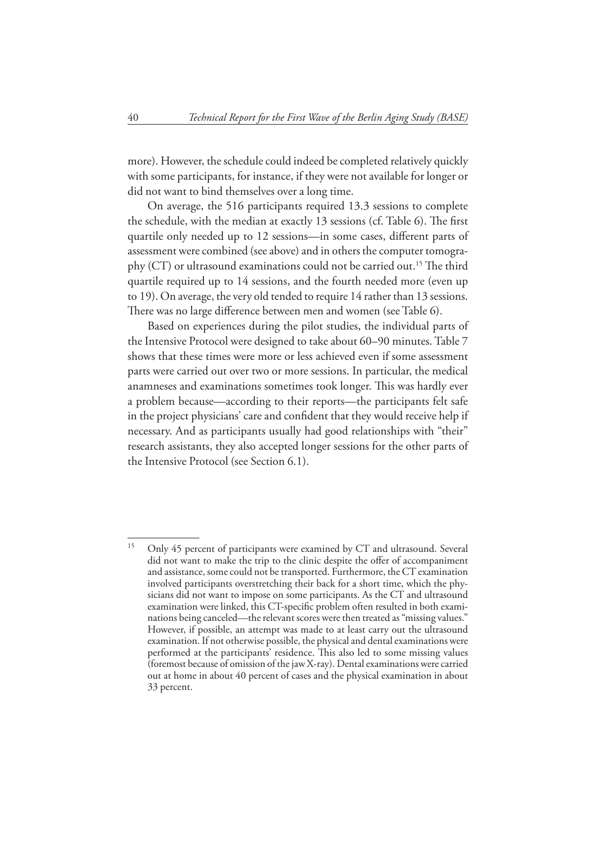more). However, the schedule could indeed be completed relatively quickly with some participants, for instance, if they were not available for longer or did not want to bind themselves over a long time.

On average, the 516 participants required 13.3 sessions to complete the schedule, with the median at exactly 13 sessions (cf. Table 6). The first quartile only needed up to 12 sessions—in some cases, different parts of assessment were combined (see above) and in others the computer tomography (CT) or ultrasound examinations could not be carried out.<sup>15</sup> The third quartile required up to 14 sessions, and the fourth needed more (even up to 19). On average, the very old tended to require 14 rather than 13 sessions. There was no large difference between men and women (see Table 6).

Based on experiences during the pilot studies, the individual parts of the Intensive Protocol were designed to take about 60–90 minutes. Table 7 shows that these times were more or less achieved even if some assessment parts were carried out over two or more sessions. In particular, the medical anamneses and examinations sometimes took longer. This was hardly ever a problem because—according to their reports—the participants felt safe in the project physicians' care and confident that they would receive help if necessary. And as participants usually had good relationships with "their" research assistants, they also accepted longer sessions for the other parts of the Intensive Protocol (see Section 6.1).

<sup>&</sup>lt;sup>15</sup> Only 45 percent of participants were examined by CT and ultrasound. Several did not want to make the trip to the clinic despite the offer of accompaniment and assistance, some could not be transported. Furthermore, the CT examination involved participants overstretching their back for a short time, which the physicians did not want to impose on some participants. As the CT and ultrasound examination were linked, this CT-specific problem often resulted in both examinations being canceled—the relevant scores were then treated as "missing values." However, if possible, an attempt was made to at least carry out the ultrasound examination. If not otherwise possible, the physical and dental examinations were performed at the participants' residence. This also led to some missing values (foremost because of omission of the jaw X-ray). Dental examinations were carried out at home in about 40 percent of cases and the physical examination in about 33 percent.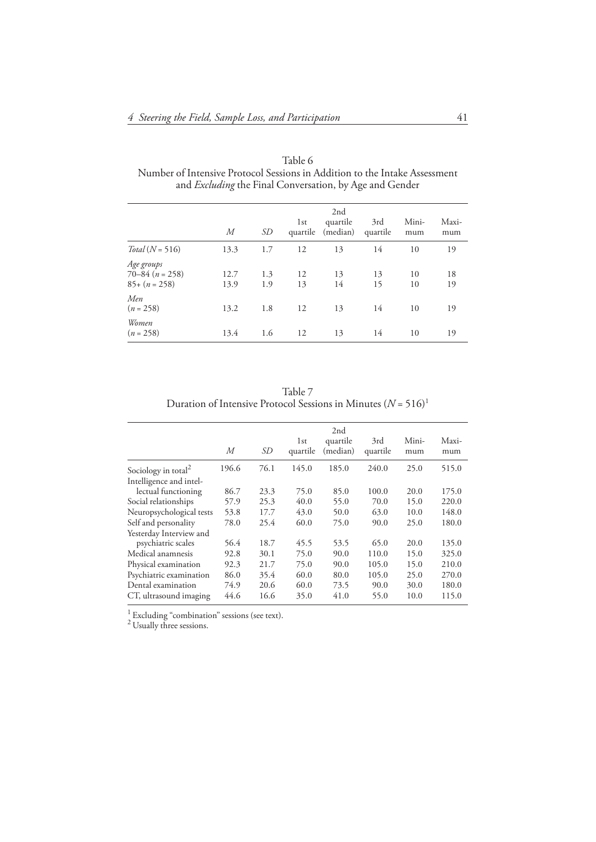| М            | SD         | 1st      | 2nd<br>quartile | 3rd<br>quartile      | Mini-<br>mum | Maxi-<br>mum |
|--------------|------------|----------|-----------------|----------------------|--------------|--------------|
| 13.3         | 1.7        | 12       | 13              | 14                   | 10           | 19           |
| 12.7<br>13.9 | 1.3<br>1.9 | 12<br>13 | 13<br>14        | 13<br>15             | 10<br>10     | 18<br>19     |
| 13.2         | 1.8        | 12       | 13              | 14                   | 10           | 19           |
| 13.4         | 1.6        | 12       | 13              | 14                   | 10           | 19           |
|              |            |          |                 | (median)<br>quartile |              |              |

Table 6 Number of Intensive Protocol Sessions in Addition to the Intake Assessment and *Excluding* the Final Conversation, by Age and Gender

Table 7 Duration of Intensive Protocol Sessions in Minutes  $(N = 516)^1$ 

|                                 | М     | SD   | 1st<br>quartile | 2nd<br>quartile<br>(median) | 3rd<br>quartile | Mini-<br>mum | Maxi-<br>mum |
|---------------------------------|-------|------|-----------------|-----------------------------|-----------------|--------------|--------------|
| Sociology in total <sup>2</sup> | 196.6 | 76.1 | 145.0           | 185.0                       | 240.0           | 25.0         | 515.0        |
| Intelligence and intel-         |       |      |                 |                             |                 |              |              |
| lectual functioning             | 86.7  | 23.3 | 75.0            | 85.0                        | 100.0           | 20.0         | 175.0        |
| Social relationships            | 57.9  | 25.3 | 40.0            | 55.0                        | 70.0            | 15.0         | 220.0        |
| Neuropsychological tests        | 53.8  | 17.7 | 43.0            | 50.0                        | 63.0            | 10.0         | 148.0        |
| Self and personality            | 78.0  | 25.4 | 60.0            | 75.0                        | 90.0            | 25.0         | 180.0        |
| Yesterday Interview and         |       |      |                 |                             |                 |              |              |
| psychiatric scales              | 56.4  | 18.7 | 45.5            | 53.5                        | 65.0            | 20.0         | 135.0        |
| Medical anamnesis               | 92.8  | 30.1 | 75.0            | 90.0                        | 110.0           | 15.0         | 325.0        |
| Physical examination            | 92.3  | 21.7 | 75.0            | 90.0                        | 105.0           | 15.0         | 210.0        |
| Psychiatric examination         | 86.0  | 35.4 | 60.0            | 80.0                        | 105.0           | 25.0         | 270.0        |
| Dental examination              | 74.9  | 20.6 | 60.0            | 73.5                        | 90.0            | 30.0         | 180.0        |
| CT, ultrasound imaging          | 44.6  | 16.6 | 35.0            | 41.0                        | 55.0            | 10.0         | 115.0        |

 $\frac{1}{2}$  Excluding "combination" sessions (see text).

<sup>2</sup> Usually three sessions.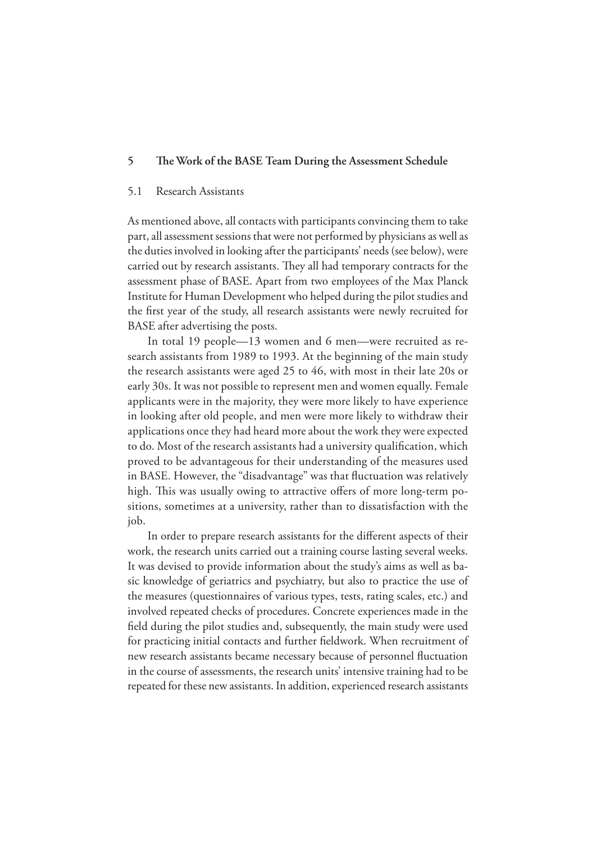#### **5** The Work of the BASE Team During the Assessment Schedule

#### 5.1 Research Assistants

As mentioned above, all contacts with participants convincing them to take part, all assessment sessions that were not performed by physicians as well as the duties involved in looking after the participants' needs (see below), were carried out by research assistants. They all had temporary contracts for the assessment phase of BASE. Apart from two employees of the Max Planck Institute for Human Development who helped during the pilot studies and the first year of the study, all research assistants were newly recruited for BASE after advertising the posts.

In total 19 people—13 women and 6 men—were recruited as research assistants from 1989 to 1993. At the beginning of the main study the research assistants were aged 25 to 46, with most in their late 20s or early 30s. It was not possible to represent men and women equally. Female applicants were in the majority, they were more likely to have experience in looking after old people, and men were more likely to withdraw their applications once they had heard more about the work they were expected to do. Most of the research assistants had a university qualification, which proved to be advantageous for their understanding of the measures used in BASE. However, the "disadvantage" was that fluctuation was relatively high. This was usually owing to attractive offers of more long-term positions, sometimes at a university, rather than to dissatisfaction with the job.

In order to prepare research assistants for the different aspects of their work, the research units carried out a training course lasting several weeks. It was devised to provide information about the study's aims as well as basic knowledge of geriatrics and psychiatry, but also to practice the use of the measures (questionnaires of various types, tests, rating scales, etc.) and involved repeated checks of procedures. Concrete experiences made in the field during the pilot studies and, subsequently, the main study were used for practicing initial contacts and further fieldwork. When recruitment of new research assistants became necessary because of personnel fluctuation in the course of assessments, the research units' intensive training had to be repeated for these new assistants. In addition, experienced research assistants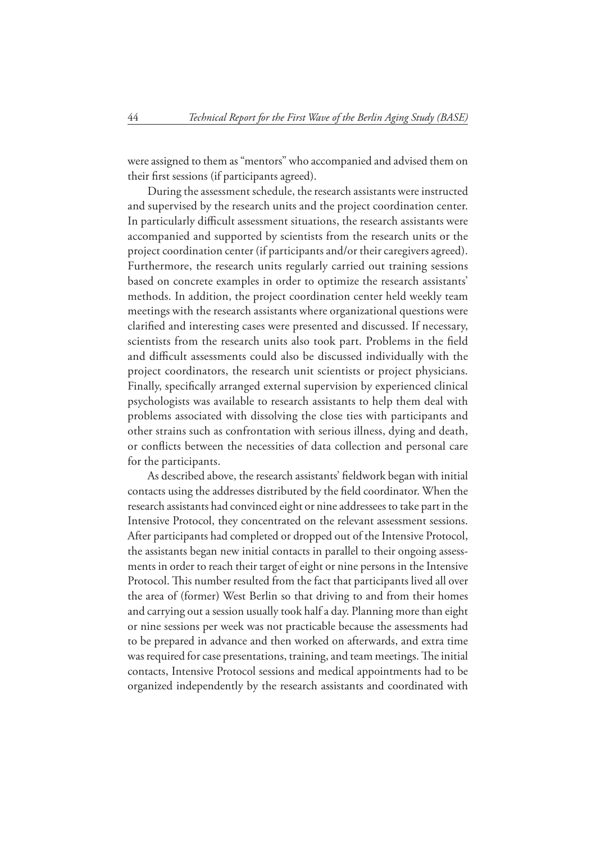were assigned to them as "mentors" who accompanied and advised them on their first sessions (if participants agreed).

During the assessment schedule, the research assistants were instructed and supervised by the research units and the project coordination center. In particularly difficult assessment situations, the research assistants were accompanied and supported by scientists from the research units or the project coordination center (if participants and/or their caregivers agreed). Furthermore, the research units regularly carried out training sessions based on concrete examples in order to optimize the research assistants' methods. In addition, the project coordination center held weekly team meetings with the research assistants where organizational questions were clarified and interesting cases were presented and discussed. If necessary, scientists from the research units also took part. Problems in the field and difficult assessments could also be discussed individually with the project coordinators, the research unit scientists or project physicians. Finally, specifically arranged external supervision by experienced clinical psychologists was available to research assistants to help them deal with problems associated with dissolving the close ties with participants and other strains such as confrontation with serious illness, dying and death, or conflicts between the necessities of data collection and personal care for the participants.

As described above, the research assistants' fieldwork began with initial contacts using the addresses distributed by the field coordinator. When the research assistants had convinced eight or nine addressees to take part in the Intensive Protocol, they concentrated on the relevant assessment sessions. After participants had completed or dropped out of the Intensive Protocol, the assistants began new initial contacts in parallel to their ongoing assessments in order to reach their target of eight or nine persons in the Intensive Protocol. This number resulted from the fact that participants lived all over the area of (former) West Berlin so that driving to and from their homes and carrying out a session usually took half a day. Planning more than eight or nine sessions per week was not practicable because the assessments had to be prepared in advance and then worked on afterwards, and extra time was required for case presentations, training, and team meetings. The initial contacts, Intensive Protocol sessions and medical appointments had to be organized independently by the research assistants and coordinated with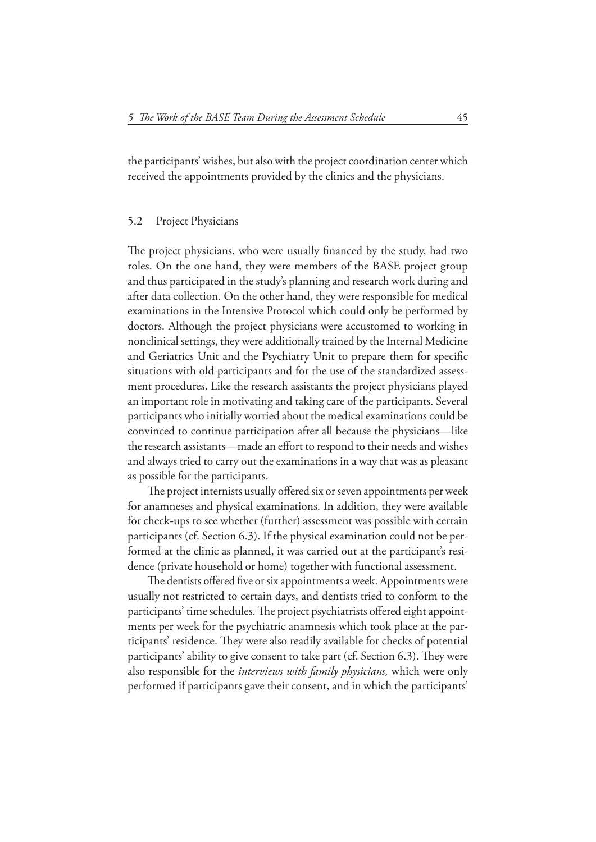the participants' wishes, but also with the project coordination center which received the appointments provided by the clinics and the physicians.

#### 5.2 Project Physicians

The project physicians, who were usually financed by the study, had two roles. On the one hand, they were members of the BASE project group and thus participated in the study's planning and research work during and after data collection. On the other hand, they were responsible for medical examinations in the Intensive Protocol which could only be performed by doctors. Although the project physicians were accustomed to working in nonclinical settings, they were additionally trained by the Internal Medicine and Geriatrics Unit and the Psychiatry Unit to prepare them for specific situations with old participants and for the use of the standardized assessment procedures. Like the research assistants the project physicians played an important role in motivating and taking care of the participants. Several participants who initially worried about the medical examinations could be convinced to continue participation after all because the physicians—like the research assistants—made an effort to respond to their needs and wishes and always tried to carry out the examinations in a way that was as pleasant as possible for the participants.

The project internists usually offered six or seven appointments per week for anamneses and physical examinations. In addition, they were available for check-ups to see whether (further) assessment was possible with certain participants (cf. Section 6.3). If the physical examination could not be performed at the clinic as planned, it was carried out at the participant's residence (private household or home) together with functional assessment.

The dentists offered five or six appointments a week. Appointments were usually not restricted to certain days, and dentists tried to conform to the participants' time schedules. The project psychiatrists offered eight appointments per week for the psychiatric anamnesis which took place at the participants' residence. They were also readily available for checks of potential participants' ability to give consent to take part (cf. Section 6.3). They were also responsible for the *interviews with family physicians,* which were only performed if participants gave their consent, and in which the participants'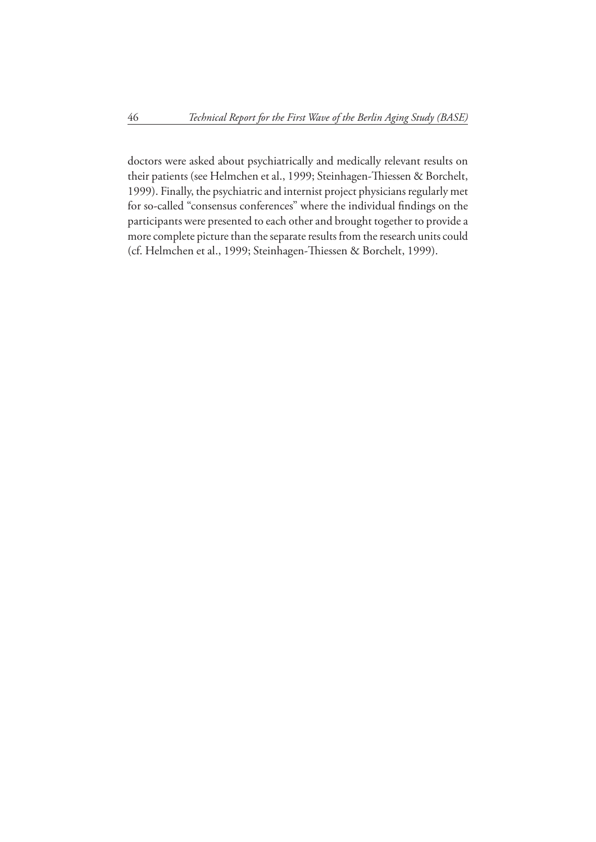doctors were asked about psychiatrically and medically relevant results on their patients (see Helmchen et al., 1999; Steinhagen-Thiessen & Borchelt, 1999). Finally, the psychiatric and internist project physicians regularly met for so-called "consensus conferences" where the individual findings on the participants were presented to each other and brought together to provide a more complete picture than the separate results from the research units could (cf. Helmchen et al., 1999; Steinhagen-Thiessen & Borchelt, 1999).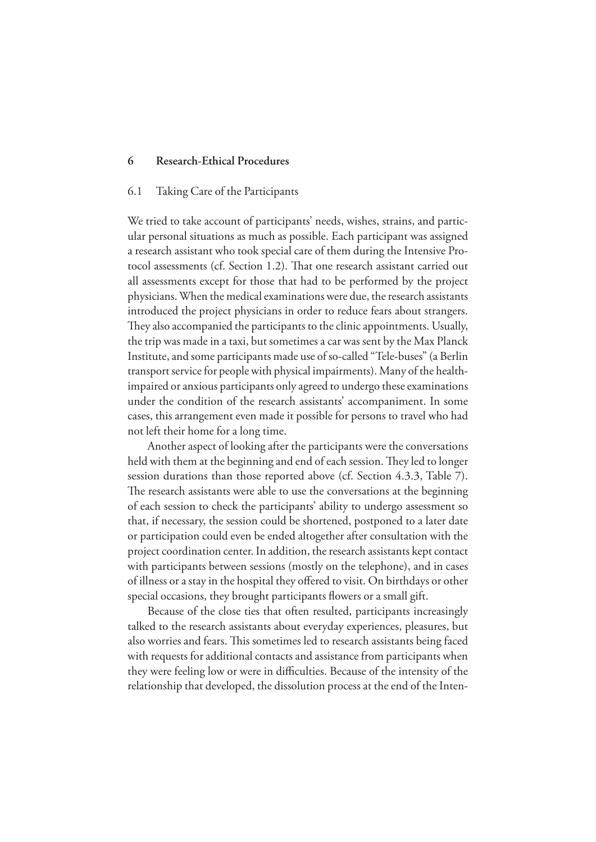#### **6 Research-Ethical Procedures**

#### 6.1 Taking Care of the Participants

We tried to take account of participants' needs, wishes, strains, and particular personal situations as much as possible. Each participant was assigned a research assistant who took special care of them during the Intensive Protocol assessments (cf. Section 1.2). That one research assistant carried out all assessments except for those that had to be performed by the project physicians. When the medical examinations were due, the research assistants introduced the project physicians in order to reduce fears about strangers. They also accompanied the participants to the clinic appointments. Usually, the trip was made in a taxi, but sometimes a car was sent by the Max Planck Institute, and some participants made use of so-called "Tele-buses" (a Berlin transport service for people with physical impairments). Many of the healthimpaired or anxious participants only agreed to undergo these examinations under the condition of the research assistants' accompaniment. In some cases, this arrangement even made it possible for persons to travel who had not left their home for a long time.

Another aspect of looking after the participants were the conversations held with them at the beginning and end of each session. They led to longer session durations than those reported above (cf. Section 4.3.3, Table 7). The research assistants were able to use the conversations at the beginning of each session to check the participants' ability to undergo assessment so that, if necessary, the session could be shortened, postponed to a later date or participation could even be ended altogether after consultation with the project coordination center. In addition, the research assistants kept contact with participants between sessions (mostly on the telephone), and in cases of illness or a stay in the hospital they offered to visit. On birthdays or other special occasions, they brought participants flowers or a small gift.

Because of the close ties that often resulted, participants increasingly talked to the research assistants about everyday experiences, pleasures, but also worries and fears. This sometimes led to research assistants being faced with requests for additional contacts and assistance from participants when they were feeling low or were in difficulties. Because of the intensity of the relationship that developed, the dissolution process at the end of the Inten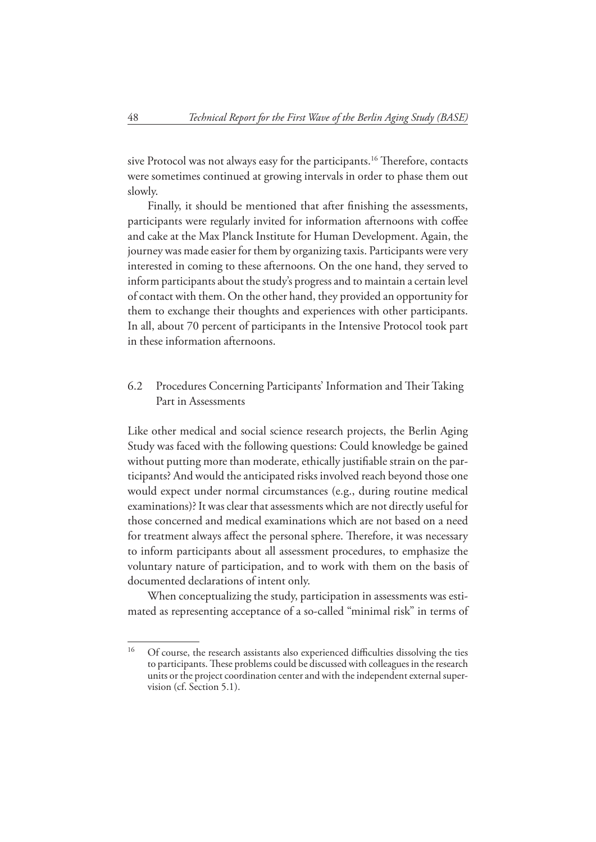sive Protocol was not always easy for the participants.<sup>16</sup> Therefore, contacts were sometimes continued at growing intervals in order to phase them out slowly.

Finally, it should be mentioned that after finishing the assessments, participants were regularly invited for information afternoons with coffee and cake at the Max Planck Institute for Human Development. Again, the journey was made easier for them by organizing taxis. Participants were very interested in coming to these afternoons. On the one hand, they served to inform participants about the study's progress and to maintain a certain level of contact with them. On the other hand, they provided an opportunity for them to exchange their thoughts and experiences with other participants. In all, about 70 percent of participants in the Intensive Protocol took part in these information afternoons.

#### 6.2 Procedures Concerning Participants' Information and Their Taking Part in Assessments

Like other medical and social science research projects, the Berlin Aging Study was faced with the following questions: Could knowledge be gained without putting more than moderate, ethically justifiable strain on the participants? And would the anticipated risks involved reach beyond those one would expect under normal circumstances (e.g., during routine medical examinations)? It was clear that assessments which are not directly useful for those concerned and medical examinations which are not based on a need for treatment always affect the personal sphere. Therefore, it was necessary to inform participants about all assessment procedures, to emphasize the voluntary nature of participation, and to work with them on the basis of documented declarations of intent only.

When conceptualizing the study, participation in assessments was estimated as representing acceptance of a so-called "minimal risk" in terms of

<sup>&</sup>lt;sup>16</sup> Of course, the research assistants also experienced difficulties dissolving the ties to participants. These problems could be discussed with colleagues in the research units or the project coordination center and with the independent external supervision (cf. Section 5.1).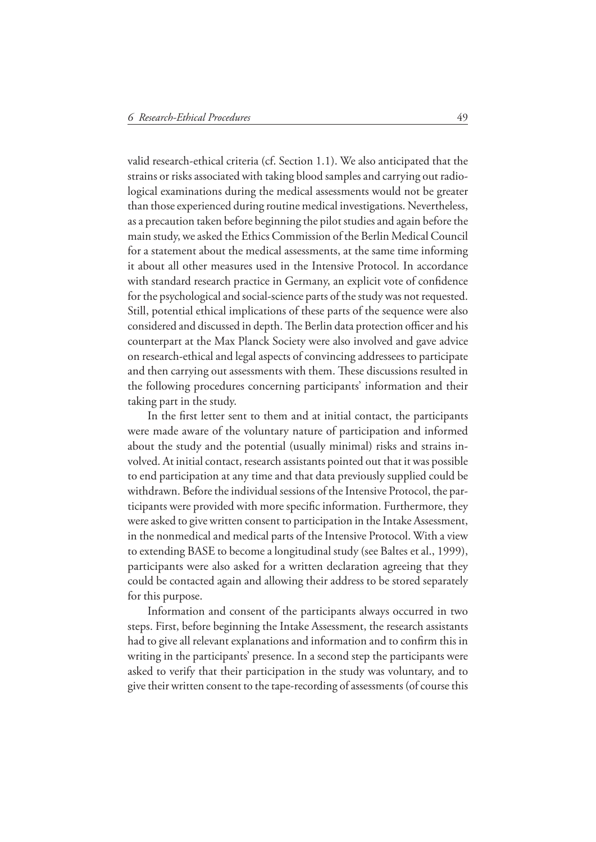valid research-ethical criteria (cf. Section 1.1). We also anticipated that the strains or risks associated with taking blood samples and carrying out radiological examinations during the medical assessments would not be greater than those experienced during routine medical investigations. Nevertheless, as a precaution taken before beginning the pilot studies and again before the main study, we asked the Ethics Commission of the Berlin Medical Council for a statement about the medical assessments, at the same time informing it about all other measures used in the Intensive Protocol. In accordance with standard research practice in Germany, an explicit vote of confidence for the psychological and social-science parts of the study was not requested. Still, potential ethical implications of these parts of the sequence were also considered and discussed in depth. The Berlin data protection officer and his counterpart at the Max Planck Society were also involved and gave advice on research-ethical and legal aspects of convincing addressees to participate and then carrying out assessments with them. These discussions resulted in the following procedures concerning participants' information and their taking part in the study.

In the first letter sent to them and at initial contact, the participants were made aware of the voluntary nature of participation and informed about the study and the potential (usually minimal) risks and strains involved. At initial contact, research assistants pointed out that it was possible to end participation at any time and that data previously supplied could be withdrawn. Before the individual sessions of the Intensive Protocol, the participants were provided with more specific information. Furthermore, they were asked to give written consent to participation in the Intake Assessment, in the nonmedical and medical parts of the Intensive Protocol. With a view to extending BASE to become a longitudinal study (see Baltes et al., 1999), participants were also asked for a written declaration agreeing that they could be contacted again and allowing their address to be stored separately for this purpose.

Information and consent of the participants always occurred in two steps. First, before beginning the Intake Assessment, the research assistants had to give all relevant explanations and information and to confirm this in writing in the participants' presence. In a second step the participants were asked to verify that their participation in the study was voluntary, and to give their written consent to the tape-recording of assessments (of course this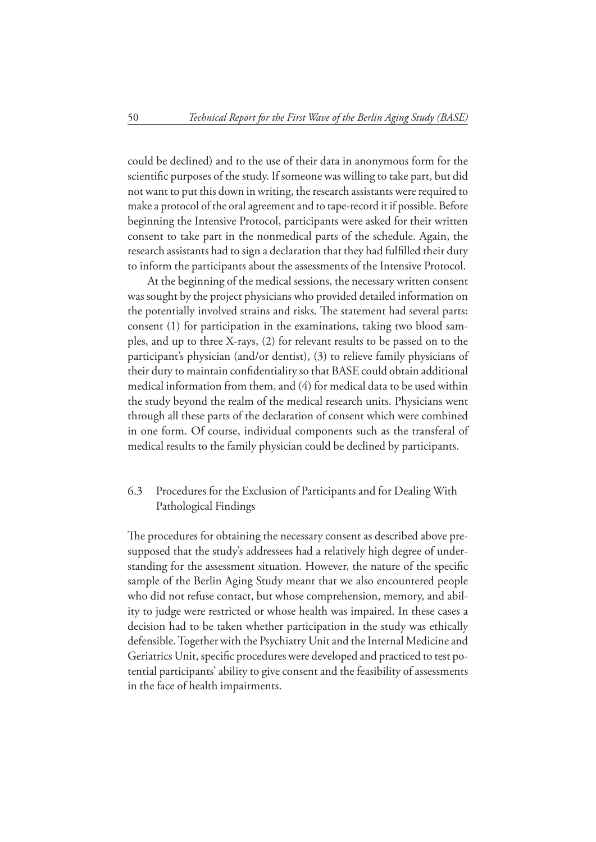could be declined) and to the use of their data in anonymous form for the scientific purposes of the study. If someone was willing to take part, but did not want to put this down in writing, the research assistants were required to make a protocol of the oral agreement and to tape-record it if possible. Before beginning the Intensive Protocol, participants were asked for their written consent to take part in the nonmedical parts of the schedule. Again, the research assistants had to sign a declaration that they had fulfilled their duty to inform the participants about the assessments of the Intensive Protocol.

At the beginning of the medical sessions, the necessary written consent was sought by the project physicians who provided detailed information on the potentially involved strains and risks. The statement had several parts: consent (1) for participation in the examinations, taking two blood samples, and up to three X-rays, (2) for relevant results to be passed on to the participant's physician (and/or dentist), (3) to relieve family physicians of their duty to maintain confidentiality so that BASE could obtain additional medical information from them, and (4) for medical data to be used within the study beyond the realm of the medical research units. Physicians went through all these parts of the declaration of consent which were combined in one form. Of course, individual components such as the transferal of medical results to the family physician could be declined by participants.

#### 6.3 Procedures for the Exclusion of Participants and for Dealing With Pathological Findings

The procedures for obtaining the necessary consent as described above presupposed that the study's addressees had a relatively high degree of understanding for the assessment situation. However, the nature of the specific sample of the Berlin Aging Study meant that we also encountered people who did not refuse contact, but whose comprehension, memory, and ability to judge were restricted or whose health was impaired. In these cases a decision had to be taken whether participation in the study was ethically defensible. Together with the Psychiatry Unit and the Internal Medicine and Geriatrics Unit, specific procedures were developed and practiced to test potential participants' ability to give consent and the feasibility of assessments in the face of health impairments.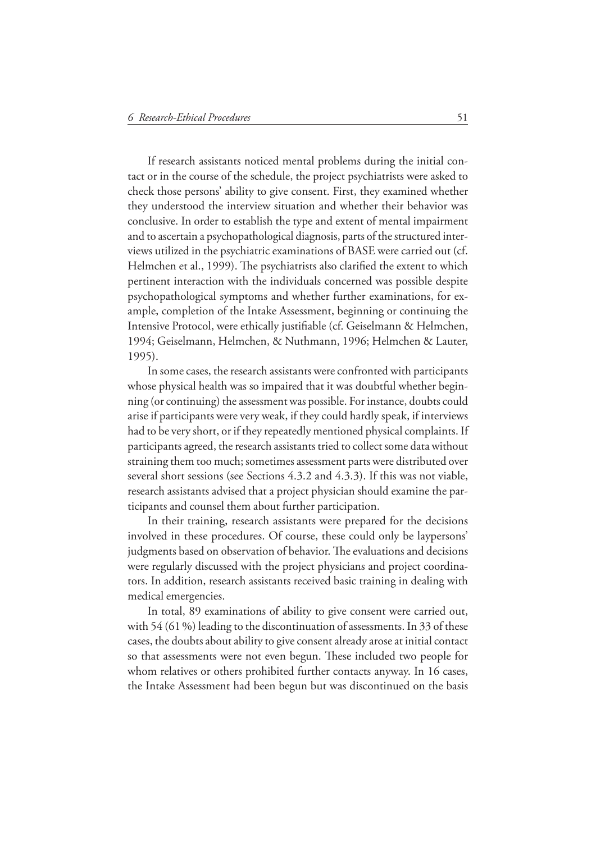If research assistants noticed mental problems during the initial contact or in the course of the schedule, the project psychiatrists were asked to check those persons' ability to give consent. First, they examined whether they understood the interview situation and whether their behavior was conclusive. In order to establish the type and extent of mental impairment and to ascertain a psychopathological diagnosis, parts of the structured interviews utilized in the psychiatric examinations of BASE were carried out (cf. Helmchen et al., 1999). The psychiatrists also clarified the extent to which pertinent interaction with the individuals concerned was possible despite psychopathological symptoms and whether further examinations, for example, completion of the Intake Assessment, beginning or continuing the Intensive Protocol, were ethically justifiable (cf. Geiselmann & Helmchen, 1994; Geiselmann, Helmchen, & Nuthmann, 1996; Helmchen & Lauter, 1995).

In some cases, the research assistants were confronted with participants whose physical health was so impaired that it was doubtful whether beginning (or continuing) the assessment was possible. For instance, doubts could arise if participants were very weak, if they could hardly speak, if interviews had to be very short, or if they repeatedly mentioned physical complaints. If participants agreed, the research assistants tried to collect some data without straining them too much; sometimes assessment parts were distributed over several short sessions (see Sections 4.3.2 and 4.3.3). If this was not viable, research assistants advised that a project physician should examine the participants and counsel them about further participation.

In their training, research assistants were prepared for the decisions involved in these procedures. Of course, these could only be laypersons' judgments based on observation of behavior. The evaluations and decisions were regularly discussed with the project physicians and project coordinators. In addition, research assistants received basic training in dealing with medical emergencies.

In total, 89 examinations of ability to give consent were carried out, with 54 (61 %) leading to the discontinuation of assessments. In 33 of these cases, the doubts about ability to give consent already arose at initial contact so that assessments were not even begun. These included two people for whom relatives or others prohibited further contacts anyway. In 16 cases, the Intake Assessment had been begun but was discontinued on the basis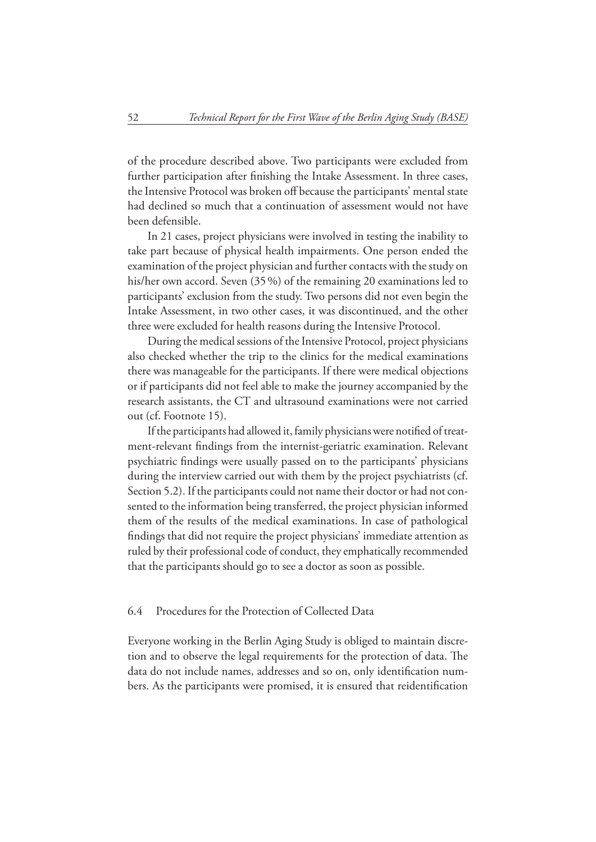of the procedure described above. Two participants were excluded from further participation after finishing the Intake Assessment. In three cases, the Intensive Protocol was broken off because the participants' mental state had declined so much that a continuation of assessment would not have been defensible.

In 21 cases, project physicians were involved in testing the inability to take part because of physical health impairments. One person ended the examination of the project physician and further contacts with the study on his/her own accord. Seven (35 %) of the remaining 20 examinations led to participants' exclusion from the study. Two persons did not even begin the Intake Assessment, in two other cases, it was discontinued, and the other three were excluded for health reasons during the Intensive Protocol.

During the medical sessions of the Intensive Protocol, project physicians also checked whether the trip to the clinics for the medical examinations there was manageable for the participants. If there were medical objections or if participants did not feel able to make the journey accompanied by the research assistants, the CT and ultrasound examinations were not carried out (cf. Footnote 15).

If the participants had allowed it, family physicians were notified of treatment-relevant findings from the internist-geriatric examination. Relevant psychiatric findings were usually passed on to the participants' physicians during the interview carried out with them by the project psychiatrists (cf. Section 5.2). If the participants could not name their doctor or had not consented to the information being transferred, the project physician informed them of the results of the medical examinations. In case of pathological findings that did not require the project physicians' immediate attention as ruled by their professional code of conduct, they emphatically recommended that the participants should go to see a doctor as soon as possible.

#### 6.4 Procedures for the Protection of Collected Data

Everyone working in the Berlin Aging Study is obliged to maintain discretion and to observe the legal requirements for the protection of data. The data do not include names, addresses and so on, only identification numbers. As the participants were promised, it is ensured that reidentification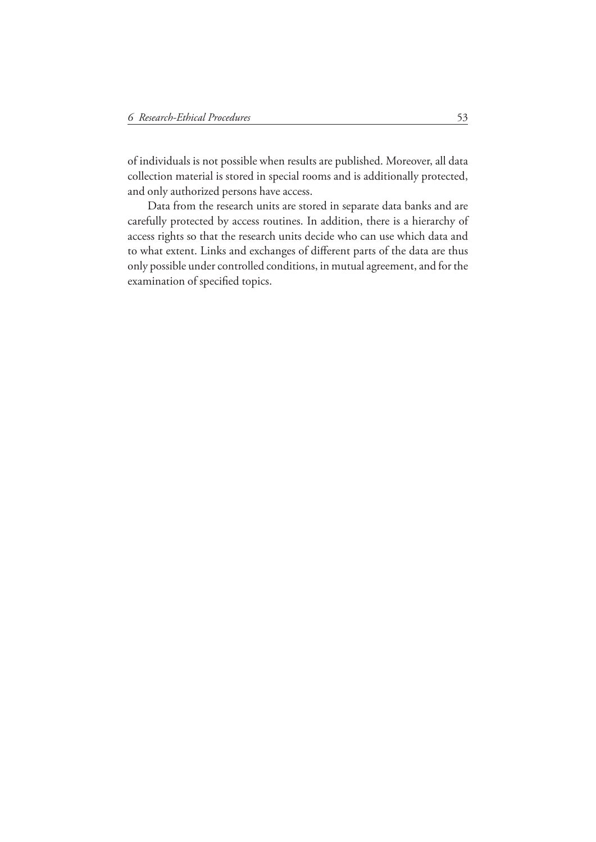of individuals is not possible when results are published. Moreover, all data collection material is stored in special rooms and is additionally protected, and only authorized persons have access.

Data from the research units are stored in separate data banks and are carefully protected by access routines. In addition, there is a hierarchy of access rights so that the research units decide who can use which data and to what extent. Links and exchanges of different parts of the data are thus only possible under controlled conditions, in mutual agreement, and for the examination of specified topics.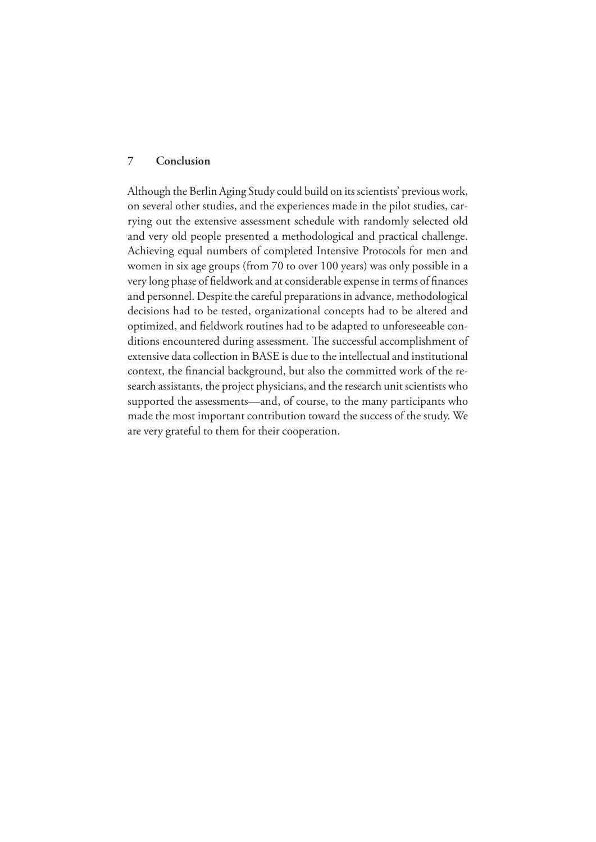#### **7 Conclusion**

Although the Berlin Aging Study could build on its scientists' previous work, on several other studies, and the experiences made in the pilot studies, carrying out the extensive assessment schedule with randomly selected old and very old people presented a methodological and practical challenge. Achieving equal numbers of completed Intensive Protocols for men and women in six age groups (from 70 to over 100 years) was only possible in a very long phase of fieldwork and at considerable expense in terms of finances and personnel. Despite the careful preparations in advance, methodological decisions had to be tested, organizational concepts had to be altered and optimized, and fieldwork routines had to be adapted to unforeseeable conditions encountered during assessment. The successful accomplishment of extensive data collection in BASE is due to the intellectual and institutional context, the financial background, but also the committed work of the research assistants, the project physicians, and the research unit scientists who supported the assessments—and, of course, to the many participants who made the most important contribution toward the success of the study. We are very grateful to them for their cooperation.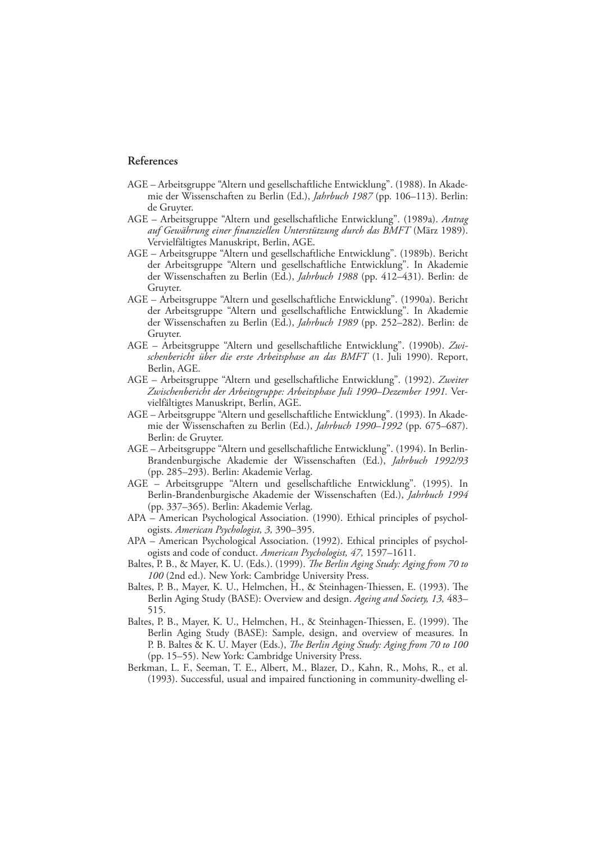#### **References**

- AGE Arbeitsgruppe "Altern und gesellschaftliche Entwicklung". (1988). In Akademie der Wissenschaften zu Berlin (Ed.), *Jahrbuch 1987* (pp. 106–113). Berlin: de Gruyter.
- AGE Arbeitsgruppe "Altern und gesellschaftliche Entwicklung". (1989a). *Antrag*  auf Gewährung einer finanziellen Unterstützung durch das BMFT (März 1989). Vervielfältigtes Manuskript, Berlin, AGE.
- AGE Arbeitsgruppe "Altern und gesellschaftliche Entwicklung". (1989b). Bericht der Arbeitsgruppe "Altern und gesellschaftliche Entwicklung". In Akademie der Wissenschaften zu Berlin (Ed.), *Jahrbuch 1988* (pp. 412–431). Berlin: de Gruyter.
- AGE Arbeitsgruppe "Altern und gesellschaftliche Entwicklung". (1990a). Bericht der Arbeitsgruppe "Altern und gesellschaftliche Entwicklung". In Akademie der Wissenschaften zu Berlin (Ed.), *Jahrbuch 1989* (pp. 252–282). Berlin: de Gruyter.
- AGE Arbeitsgruppe "Altern und gesellschaftliche Entwicklung". (1990b). *Zwischenbericht über die erste Arbeitsphase an das BMFT* (1. Juli 1990). Report, Berlin, AGE.
- AGE Arbeitsgruppe "Altern und gesellschaftliche Entwicklung". (1992). *Zweiter Zwischenbericht der Arbeitsgruppe: Arbeitsphase Juli 1990–Dezember 1991.* Vervielfältigtes Manuskript, Berlin, AGE.
- AGE Arbeitsgruppe "Altern und gesellschaftliche Entwicklung". (1993). In Akademie der Wissenschaften zu Berlin (Ed.), *Jahrbuch 1990–1992* (pp. 675–687). Berlin: de Gruyter.
- AGE Arbeitsgruppe "Altern und gesellschaftliche Entwicklung". (1994). In Berlin-Brandenburgische Akademie der Wissenschaften (Ed.), *Jahrbuch 1992/93* (pp. 285–293). Berlin: Akademie Verlag.
- AGE Arbeitsgruppe "Altern und gesellschaftliche Entwicklung". (1995). In Berlin-Brandenburgische Akademie der Wissenschaften (Ed.), *Jahrbuch 1994* (pp. 337–365). Berlin: Akademie Verlag.
- APA American Psychological Association. (1990). Ethical principles of psychologists. *American Psychologist, 3,* 390–395.
- APA American Psychological Association. (1992). Ethical principles of psychologists and code of conduct. *American Psychologist, 47,* 1597–1611.
- Baltes, P. B., & Mayer, K. U. (Eds.). (1999). *The Berlin Aging Study: Aging from 70 to 100* (2nd ed.). New York: Cambridge University Press.
- Baltes, P. B., Mayer, K. U., Helmchen, H., & Steinhagen-Thiessen, E. (1993). The Berlin Aging Study (BASE): Overview and design. *Ageing and Society, 13,* 483– 515.
- Baltes, P. B., Mayer, K. U., Helmchen, H., & Steinhagen-Thiessen, E. (1999). The Berlin Aging Study (BASE): Sample, design, and overview of measures. In P. B. Baltes & K. U. Mayer (Eds.), *The Berlin Aging Study: Aging from 70 to 100* (pp. 15–55). New York: Cambridge University Press.
- Berkman, L. F., Seeman, T. E., Albert, M., Blazer, D., Kahn, R., Mohs, R., et al. (1993). Successful, usual and impaired functioning in community-dwelling el-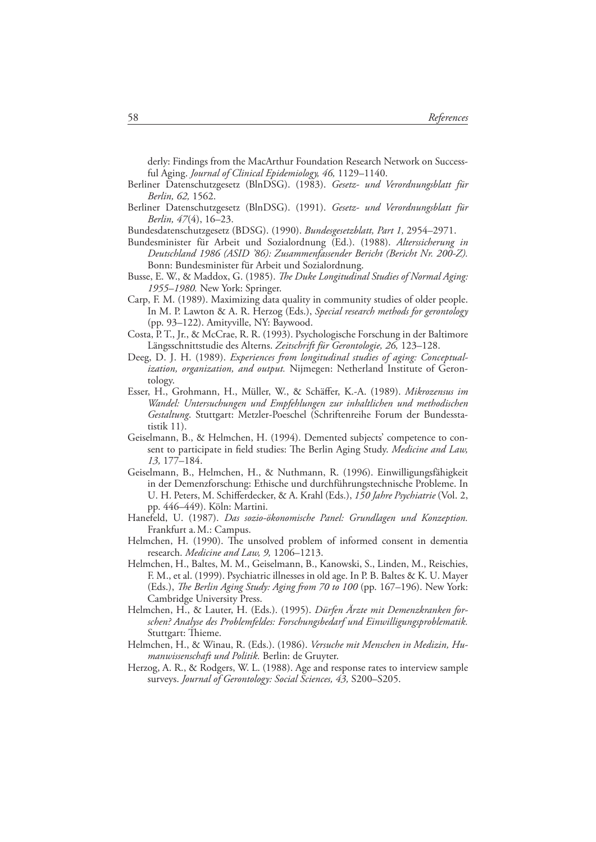derly: Findings from the MacArthur Foundation Research Network on Successful Aging. *Journal of Clinical Epidemiology*, 46, 1129–1140.

- Berliner Datenschutzgesetz (BlnDSG). (1983). *Gesetz- und Verordnungsblatt für Berlin, 62,* 1562.
- Berliner Datenschutzgesetz (BlnDSG). (1991). *Gesetz- und Verordnungsblatt für Berlin, 47* (4), 16–23.
- Bundesdatenschutzgesetz (BDSG). (1990). *Bundesgesetzblatt, Part 1,* 2954–2971.
- Bundesminister für Arbeit und Sozialordnung (Ed.). (1988). *Alterssicherung in Deutschland 1986 (ASID '86): Zusammenfassender Bericht (Bericht Nr. 200-Z).* Bonn: Bundesminister für Arbeit und Sozialordnung.
- Busse, E. W., & Maddox, G. (1985). *The Duke Longitudinal Studies of Normal Aging*: *1955–1980.* New York: Springer.
- Carp, F. M. (1989). Maximizing data quality in community studies of older people. In M. P. Lawton & A. R. Herzog (Eds.), *Special research methods for gerontology* (pp. 93–122). Amityville, NY: Baywood.
- Costa, P. T., Jr., & McCrae, R. R. (1993). Psychologische Forschung in der Baltimore Längsschnittstudie des Alterns. *Zeitschrift für Gerontologie, 26,* 123–128.
- Deeg, D. J. H. (1989). *Experiences from longitudinal studies of aging: Conceptualization, organization, and output.* Nijmegen: Netherland Institute of Gerontology.
- Esser, H., Grohmann, H., Müller, W., & Schäffer, K.-A. (1989). *Mikrozensus im Wandel: Untersuchungen und Empfehlungen zur inhaltlichen und methodischen Gestaltung*. Stuttgart: Metzler-Poeschel (Schriftenreihe Forum der Bundesstatistik 11).
- Geiselmann, B., & Helmchen, H. (1994). Demented subjects' competence to consent to participate in field studies: The Berlin Aging Study. *Medicine and Law*, *13,* 177–184.
- Geiselmann, B., Helmchen, H., & Nuthmann, R. (1996). Einwilligungsfähigkeit in der Demenzforschung: Ethische und durchführungstechnische Probleme. In U. H. Peters, M. Schifferdecker, & A. Krahl (Eds.), 150 Jahre Psychiatrie (Vol. 2, pp. 446–449). Köln: Martini.
- Hanefeld, U. (1987). *Das sozio-ökonomische Panel: Grundlagen und Konzeption.* Frankfurt a. M.: Campus.
- Helmchen, H. (1990). The unsolved problem of informed consent in dementia research. *Medicine and Law, 9,* 1206–1213.
- Helmchen, H., Baltes, M. M., Geiselmann, B., Kanowski, S., Linden, M., Reischies, F. M., et al. (1999). Psychiatric illnesses in old age. In P. B. Baltes & K. U. Mayer (Eds.), *The Berlin Aging Study: Aging from 70 to 100* (pp. 167-196). New York: Cambridge University Press.
- Helmchen, H., & Lauter, H. (Eds.). (1995). *Dürfen Ärzte mit Demenzkranken forschen? Analyse des Problemfeldes: Forschungsbedarf und Einwilligungsproblematik.* Stuttgart: Thieme.
- Helmchen, H., & Winau, R. (Eds.). (1986). *Versuche mit Menschen in Medizin, Humanwissenschaft und Politik.* Berlin: de Gruyter.
- Herzog, A. R., & Rodgers, W. L. (1988). Age and response rates to interview sample surveys. *Journal of Gerontology: Social Sciences, 43,* S200–S205.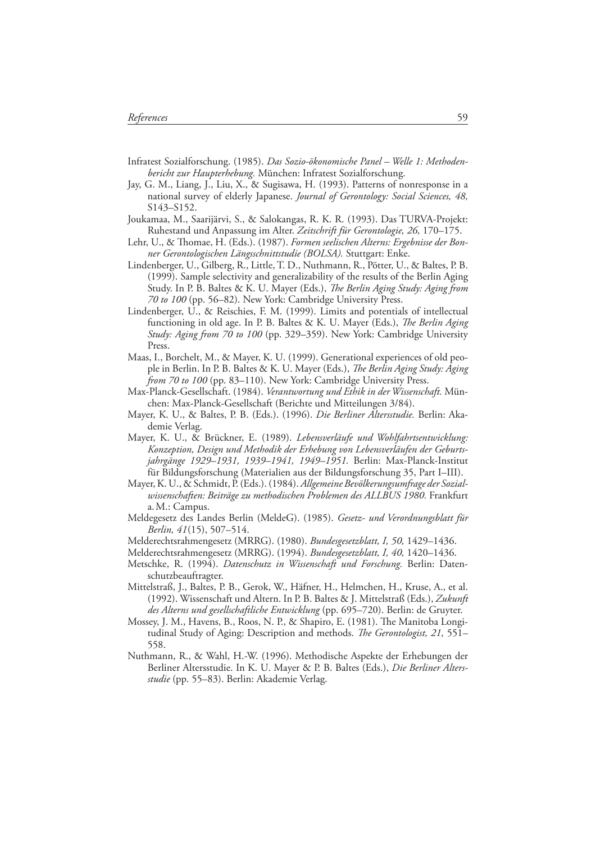- Infratest Sozialforschung. (1985). *Das Sozio-ökonomische Panel Welle 1: Methodenbericht zur Haupterhebung.* München: Infratest Sozialforschung.
- Jay, G. M., Liang, J., Liu, X., & Sugisawa, H. (1993). Patterns of nonresponse in a national survey of elderly Japanese. *Journal of Gerontology: Social Sciences, 48,* S143–S152.
- Joukamaa, M., Saarijärvi, S., & Salokangas, R. K. R. (1993). Das TURVA-Projekt: Ruhestand und Anpassung im Alter. *Zeitschrift für Gerontologie, 26,* 170–175.
- Lehr, U., & Thomae, H. (Eds.). (1987). *Formen seelischen Alterns: Ergebnisse der Bonner Gerontologischen Längsschnittstudie (BOLSA).* Stuttgart: Enke.
- Lindenberger, U., Gilberg, R., Little, T. D., Nuthmann, R., Pötter, U., & Baltes, P. B. (1999). Sample selectivity and generalizability of the results of the Berlin Aging Study. In P. B. Baltes & K. U. Mayer (Eds.), *The Berlin Aging Study: Aging from 70 to 100* (pp. 56–82). New York: Cambridge University Press.
- Lindenberger, U., & Reischies, F. M. (1999). Limits and potentials of intellectual functioning in old age. In P. B. Baltes & K. U. Mayer (Eds.), *The Berlin Aging Study: Aging from 70 to 100* (pp. 329–359). New York: Cambridge University Press.
- Maas, I., Borchelt, M., & Mayer, K. U. (1999). Generational experiences of old people in Berlin. In P. B. Baltes & K. U. Mayer (Eds.), *The Berlin Aging Study: Aging from 70 to 100* (pp. 83–110). New York: Cambridge University Press.
- Max-Planck-Gesellschaft. (1984). *Verantwortung und Ethik in der Wissenschaft.* München: Max-Planck-Gesellschaft (Berichte und Mitteilungen 3/84).
- Mayer, K. U., & Baltes, P. B. (Eds.). (1996). *Die Berliner Altersstudie.* Berlin: Akademie Verlag.
- Mayer, K. U., & Brückner, E. (1989). *Lebensverläufe und Wohlfahrtsentwicklung: Konzeption, Design und Methodik der Erhebung von Lebensverläufen der Geburtsjahrgänge 1929–1931, 1939–1941, 1949–1951.* Berlin: Max-Planck-Institut für Bildungsforschung (Materialien aus der Bildungsforschung 35, Part I–III).
- Mayer, K. U., & Schmidt, P. (Eds.). (1984). *Allgemeine Bevölkerungsumfrage der Sozialwissenschaften: Beiträge zu methodischen Problemen des ALLBUS 1980.* Frankfurt a. M.: Campus.
- Meldegesetz des Landes Berlin (MeldeG). (1985). *Gesetz- und Verordnungsblatt für Berlin, 41* (15), 507–514.
- Melderechtsrahmengesetz (MRRG). (1980). *Bundesgesetzblatt, I, 50,* 1429–1436.
- Melderechtsrahmengesetz (MRRG). (1994). *Bundesgesetzblatt, I, 40,* 1420–1436.
- Metschke, R. (1994). *Datenschutz in Wissenschaft und Forschung.* Berlin: Datenschutzbeauftragter.
- Mittelstraß, J., Baltes, P. B., Gerok, W., Häfner, H., Helmchen, H., Kruse, A., et al. (1992). Wissenschaft und Altern. In P. B. Baltes & J. Mittelstraß (Eds.), *Zukunft des Alterns und gesellschaftliche Entwicklung* (pp. 695–720). Berlin: de Gruyter.
- Mossey, J. M., Havens, B., Roos, N. P., & Shapiro, E. (1981). The Manitoba Longitudinal Study of Aging: Description and methods. *The Gerontologist*, 21, 551– 558.
- Nuthmann, R., & Wahl, H.-W. (1996). Methodische Aspekte der Erhebungen der Berliner Altersstudie. In K. U. Mayer & P. B. Baltes (Eds.), *Die Berliner Altersstudie* (pp. 55–83). Berlin: Akademie Verlag.